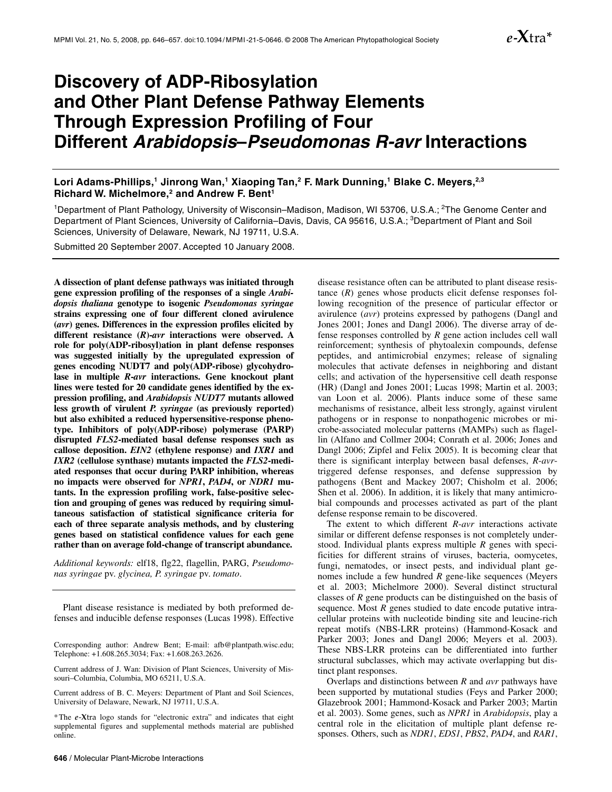# **Discovery of ADP-Ribosylation and Other Plant Defense Pathway Elements Through Expression Profiling of Four Different** *Arabidopsis***–***Pseudomonas R-avr* **Interactions**

Lori Adams-Phillips,<sup>1</sup> Jinrong Wan,<sup>1</sup> Xiaoping Tan,<sup>2</sup> F. Mark Dunning,<sup>1</sup> Blake C. Meyers,<sup>2,3</sup> **Richard W. Michelmore,2 and Andrew F. Bent1**

<sup>1</sup>Department of Plant Pathology, University of Wisconsin–Madison, Madison, WI 53706, U.S.A.; <sup>2</sup>The Genome Center and Department of Plant Sciences, University of California–Davis, Davis, CA 95616, U.S.A.; <sup>3</sup>Department of Plant and Soil Sciences, University of Delaware, Newark, NJ 19711, U.S.A.

Submitted 20 September 2007. Accepted 10 January 2008.

**A dissection of plant defense pathways was initiated through gene expression profiling of the responses of a single** *Arabidopsis thaliana* **genotype to isogenic** *Pseudomonas syringae* **strains expressing one of four different cloned avirulence (***avr***) genes. Differences in the expression profiles elicited by different resistance (***R***)-***avr* **interactions were observed. A role for poly(ADP-ribosyl)ation in plant defense responses was suggested initially by the upregulated expression of genes encoding NUDT7 and poly(ADP-ribose) glycohydrolase in multiple** *R***-***avr* **interactions. Gene knockout plant lines were tested for 20 candidate genes identified by the expression profiling, and** *Arabidopsis NUDT7* **mutants allowed less growth of virulent** *P. syringae* **(as previously reported) but also exhibited a reduced hypersensitive-response phenotype. Inhibitors of poly(ADP-ribose) polymerase (PARP) disrupted** *FLS2***-mediated basal defense responses such as callose deposition.** *EIN2* **(ethylene response) and** *IXR1* **and**  *IXR2* **(cellulose synthase) mutants impacted the** *FLS2***-mediated responses that occur during PARP inhibition, whereas no impacts were observed for** *NPR1***,** *PAD4***, or** *NDR1* **mutants. In the expression profiling work, false-positive selection and grouping of genes was reduced by requiring simultaneous satisfaction of statistical significance criteria for each of three separate analysis methods, and by clustering genes based on statistical confidence values for each gene rather than on average fold-change of transcript abundance.** 

*Additional keywords:* elf18, flg22, flagellin, PARG, *Pseudomonas syringae* pv. *glycinea, P. syringae* pv. *tomato*.

Plant disease resistance is mediated by both preformed defenses and inducible defense responses (Lucas 1998). Effective

Corresponding author: Andrew Bent; E-mail: afb@plantpath.wisc.edu; Telephone: +1.608.265.3034; Fax: +1.608.263.2626.

Current address of J. Wan: Division of Plant Sciences, University of Missouri–Columbia, Columbia, MO 65211, U.S.A.

Current address of B. C. Meyers: Department of Plant and Soil Sciences, University of Delaware, Newark, NJ 19711, U.S.A.

\*The *e*-**X**tra logo stands for "electronic extra" and indicates that eight supplemental figures and supplemental methods material are published online.

disease resistance often can be attributed to plant disease resistance (*R*) genes whose products elicit defense responses following recognition of the presence of particular effector or avirulence (*avr*) proteins expressed by pathogens (Dangl and Jones 2001; Jones and Dangl 2006). The diverse array of defense responses controlled by *R* gene action includes cell wall reinforcement; synthesis of phytoalexin compounds, defense peptides, and antimicrobial enzymes; release of signaling molecules that activate defenses in neighboring and distant cells; and activation of the hypersensitive cell death response (HR) (Dangl and Jones 2001; Lucas 1998; Martin et al. 2003; van Loon et al. 2006). Plants induce some of these same mechanisms of resistance, albeit less strongly, against virulent pathogens or in response to nonpathogenic microbes or microbe-associated molecular patterns (MAMPs) such as flagellin (Alfano and Collmer 2004; Conrath et al. 2006; Jones and Dangl 2006; Zipfel and Felix 2005). It is becoming clear that there is significant interplay between basal defenses, *R*-*avr*triggered defense responses, and defense suppression by pathogens (Bent and Mackey 2007; Chisholm et al. 2006; Shen et al. 2006). In addition, it is likely that many antimicrobial compounds and processes activated as part of the plant defense response remain to be discovered.

The extent to which different *R*-*avr* interactions activate similar or different defense responses is not completely understood. Individual plants express multiple *R* genes with specificities for different strains of viruses, bacteria, oomycetes, fungi, nematodes, or insect pests, and individual plant genomes include a few hundred *R* gene-like sequences (Meyers et al. 2003; Michelmore 2000). Several distinct structural classes of *R* gene products can be distinguished on the basis of sequence. Most *R* genes studied to date encode putative intracellular proteins with nucleotide binding site and leucine-rich repeat motifs (NBS-LRR proteins) (Hammond-Kosack and Parker 2003; Jones and Dangl 2006; Meyers et al. 2003). These NBS-LRR proteins can be differentiated into further structural subclasses, which may activate overlapping but distinct plant responses.

Overlaps and distinctions between *R* and *avr* pathways have been supported by mutational studies (Feys and Parker 2000; Glazebrook 2001; Hammond-Kosack and Parker 2003; Martin et al. 2003). Some genes, such as *NPR1* in *Arabidopsis*, play a central role in the elicitation of multiple plant defense responses. Others, such as *NDR1*, *EDS1*, *PBS2*, *PAD4*, and *RAR1*,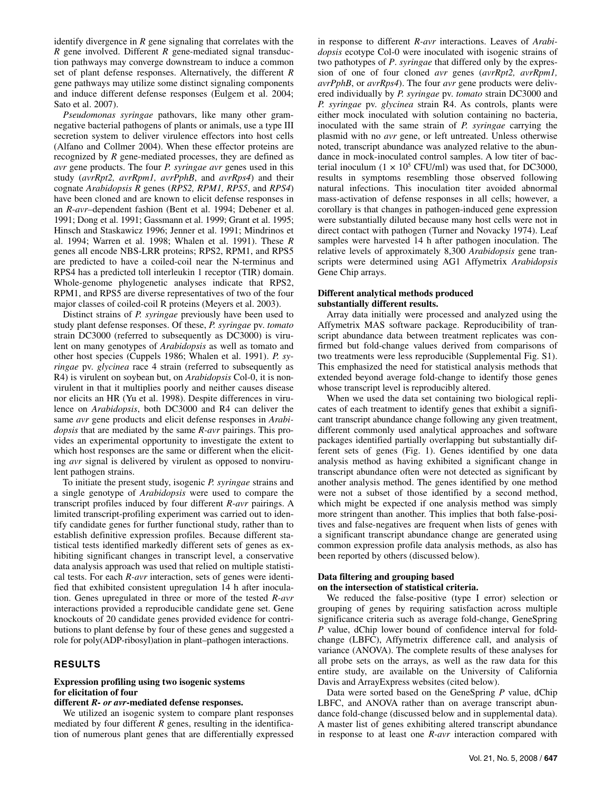identify divergence in *R* gene signaling that correlates with the *R* gene involved. Different *R* gene-mediated signal transduction pathways may converge downstream to induce a common set of plant defense responses. Alternatively, the different *R* gene pathways may utilize some distinct signaling components and induce different defense responses (Eulgem et al. 2004; Sato et al. 2007).

*Pseudomonas syringae* pathovars, like many other gramnegative bacterial pathogens of plants or animals, use a type III secretion system to deliver virulence effectors into host cells (Alfano and Collmer 2004). When these effector proteins are recognized by *R* gene-mediated processes, they are defined as *avr* gene products. The four *P. syringae avr* genes used in this study (*avrRpt2, avrRpm1, avrPphB*, and *avrRps4*) and their cognate *Arabidopsis R* genes (*RPS2, RPM1, RPS5*, and *RPS4*) have been cloned and are known to elicit defense responses in an *R*-*avr*–dependent fashion (Bent et al. 1994; Debener et al. 1991; Dong et al. 1991; Gassmann et al. 1999; Grant et al. 1995; Hinsch and Staskawicz 1996; Jenner et al. 1991; Mindrinos et al. 1994; Warren et al. 1998; Whalen et al. 1991). These *R* genes all encode NBS-LRR proteins; RPS2, RPM1, and RPS5 are predicted to have a coiled-coil near the N-terminus and RPS4 has a predicted toll interleukin 1 receptor (TIR) domain. Whole-genome phylogenetic analyses indicate that RPS2, RPM1, and RPS5 are diverse representatives of two of the four major classes of coiled-coil R proteins (Meyers et al. 2003).

Distinct strains of *P. syringae* previously have been used to study plant defense responses. Of these, *P. syringae* pv. *tomato* strain DC3000 (referred to subsequently as DC3000) is virulent on many genotypes of *Arabidopsis* as well as tomato and other host species (Cuppels 1986; Whalen et al. 1991). *P. syringae* pv. *glycinea* race 4 strain (referred to subsequently as R4) is virulent on soybean but, on *Arabidopsis* Col-0, it is nonvirulent in that it multiplies poorly and neither causes disease nor elicits an HR (Yu et al. 1998). Despite differences in virulence on *Arabidopsis*, both DC3000 and R4 can deliver the same *avr* gene products and elicit defense responses in *Arabidopsis* that are mediated by the same *R-avr* pairings. This provides an experimental opportunity to investigate the extent to which host responses are the same or different when the eliciting *avr* signal is delivered by virulent as opposed to nonvirulent pathogen strains.

To initiate the present study, isogenic *P. syringae* strains and a single genotype of *Arabidopsis* were used to compare the transcript profiles induced by four different *R-avr* pairings. A limited transcript-profiling experiment was carried out to identify candidate genes for further functional study, rather than to establish definitive expression profiles. Because different statistical tests identified markedly different sets of genes as exhibiting significant changes in transcript level, a conservative data analysis approach was used that relied on multiple statistical tests. For each *R-avr* interaction, sets of genes were identified that exhibited consistent upregulation 14 h after inoculation. Genes upregulated in three or more of the tested *R-avr* interactions provided a reproducible candidate gene set. Gene knockouts of 20 candidate genes provided evidence for contributions to plant defense by four of these genes and suggested a role for poly(ADP-ribosyl)ation in plant–pathogen interactions.

# **RESULTS**

# **Expression profiling using two isogenic systems for elicitation of four**

# **different** *R- or avr***-mediated defense responses.**

We utilized an isogenic system to compare plant responses mediated by four different *R* genes, resulting in the identification of numerous plant genes that are differentially expressed

in response to different *R-avr* interactions. Leaves of *Arabidopsis* ecotype Col-0 were inoculated with isogenic strains of two pathotypes of *P*. *syringae* that differed only by the expression of one of four cloned *avr* genes (*avrRpt2, avrRpm1, avrPphB*, or *avrRps4*). The four *avr* gene products were delivered individually by *P. syringae* pv. *tomato* strain DC3000 and *P. syringae* pv. *glycinea* strain R4. As controls, plants were either mock inoculated with solution containing no bacteria, inoculated with the same strain of *P. syringae* carrying the plasmid with no *avr* gene, or left untreated. Unless otherwise noted, transcript abundance was analyzed relative to the abundance in mock-inoculated control samples. A low titer of bacterial inoculum  $(1 \times 10^5 \text{ CFU/ml})$  was used that, for DC3000, results in symptoms resembling those observed following natural infections. This inoculation titer avoided abnormal mass-activation of defense responses in all cells; however, a corollary is that changes in pathogen-induced gene expression were substantially diluted because many host cells were not in direct contact with pathogen (Turner and Novacky 1974). Leaf samples were harvested 14 h after pathogen inoculation. The relative levels of approximately 8,300 *Arabidopsis* gene transcripts were determined using AG1 Affymetrix *Arabidopsis* Gene Chip arrays.

# **Different analytical methods produced substantially different results.**

Array data initially were processed and analyzed using the Affymetrix MAS software package. Reproducibility of transcript abundance data between treatment replicates was confirmed but fold-change values derived from comparisons of two treatments were less reproducible (Supplemental Fig. S1). This emphasized the need for statistical analysis methods that extended beyond average fold-change to identify those genes whose transcript level is reproducibly altered.

When we used the data set containing two biological replicates of each treatment to identify genes that exhibit a significant transcript abundance change following any given treatment, different commonly used analytical approaches and software packages identified partially overlapping but substantially different sets of genes (Fig. 1). Genes identified by one data analysis method as having exhibited a significant change in transcript abundance often were not detected as significant by another analysis method. The genes identified by one method were not a subset of those identified by a second method, which might be expected if one analysis method was simply more stringent than another. This implies that both false-positives and false-negatives are frequent when lists of genes with a significant transcript abundance change are generated using common expression profile data analysis methods, as also has been reported by others (discussed below).

# **Data filtering and grouping based on the intersection of statistical criteria.**

We reduced the false-positive (type I error) selection or grouping of genes by requiring satisfaction across multiple significance criteria such as average fold-change, GeneSpring *P* value, dChip lower bound of confidence interval for foldchange (LBFC), Affymetrix difference call, and analysis of variance (ANOVA). The complete results of these analyses for all probe sets on the arrays, as well as the raw data for this entire study, are available on the University of California Davis and ArrayExpress websites (cited below).

Data were sorted based on the GeneSpring *P* value, dChip LBFC, and ANOVA rather than on average transcript abundance fold-change (discussed below and in supplemental data). A master list of genes exhibiting altered transcript abundance in response to at least one *R-avr* interaction compared with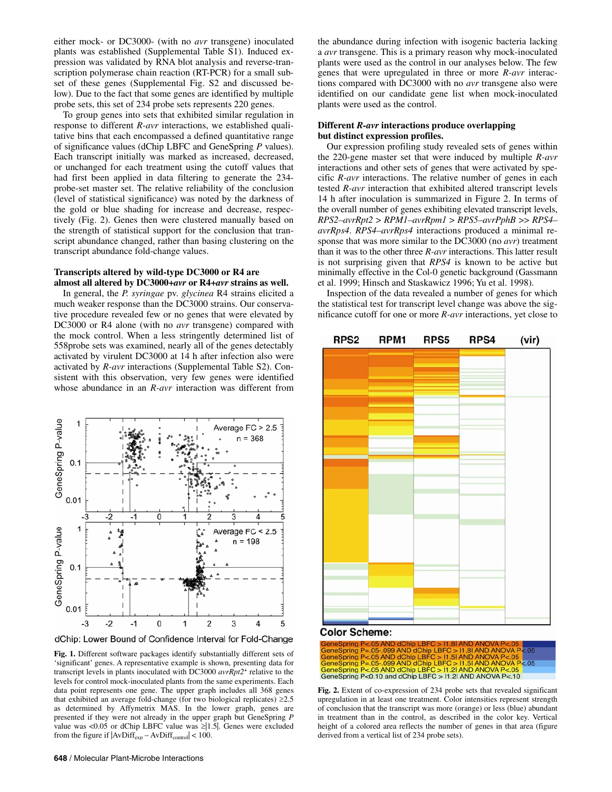either mock- or DC3000- (with no *avr* transgene) inoculated plants was established (Supplemental Table S1). Induced expression was validated by RNA blot analysis and reverse-transcription polymerase chain reaction (RT-PCR) for a small subset of these genes (Supplemental Fig. S2 and discussed below). Due to the fact that some genes are identified by multiple probe sets, this set of 234 probe sets represents 220 genes.

To group genes into sets that exhibited similar regulation in response to different *R-avr* interactions, we established qualitative bins that each encompassed a defined quantitative range of significance values (dChip LBFC and GeneSpring *P* values). Each transcript initially was marked as increased, decreased, or unchanged for each treatment using the cutoff values that had first been applied in data filtering to generate the 234 probe-set master set. The relative reliability of the conclusion (level of statistical significance) was noted by the darkness of the gold or blue shading for increase and decrease, respectively (Fig. 2). Genes then were clustered manually based on the strength of statistical support for the conclusion that transcript abundance changed, rather than basing clustering on the transcript abundance fold-change values.

# **Transcripts altered by wild-type DC3000 or R4 are almost all altered by DC3000+***avr* **or R4+***avr* **strains as well.**

In general, the *P. syringae* pv. *glycinea* R4 strains elicited a much weaker response than the DC3000 strains. Our conservative procedure revealed few or no genes that were elevated by DC3000 or R4 alone (with no *avr* transgene) compared with the mock control. When a less stringently determined list of 558probe sets was examined, nearly all of the genes detectably activated by virulent DC3000 at 14 h after infection also were activated by *R-avr* interactions (Supplemental Table S2). Consistent with this observation, very few genes were identified whose abundance in an *R-avr* interaction was different from



dChip: Lower Bound of Confidence Interval for Fold-Change

**Fig. 1.** Different software packages identify substantially different sets of 'significant' genes. A representative example is shown, presenting data for transcript levels in plants inoculated with DC3000 *avrRpt2*+ relative to the levels for control mock-inoculated plants from the same experiments. Each data point represents one gene. The upper graph includes all 368 genes that exhibited an average fold-change (for two biological replicates)  $\geq 2.5$ as determined by Affymetrix MAS. In the lower graph, genes are presented if they were not already in the upper graph but GeneSpring *P* value was <0.05 or dChip LBFC value was  $\geq$  1.5. Genes were excluded from the figure if  $|AvDiff_{exp} - AvDiff_{control}| < 100$ .

the abundance during infection with isogenic bacteria lacking a *avr* transgene. This is a primary reason why mock-inoculated plants were used as the control in our analyses below. The few genes that were upregulated in three or more *R-avr* interactions compared with DC3000 with no *avr* transgene also were identified on our candidate gene list when mock-inoculated plants were used as the control.

# **Different** *R-avr* **interactions produce overlapping but distinct expression profiles.**

Our expression profiling study revealed sets of genes within the 220-gene master set that were induced by multiple *R-avr* interactions and other sets of genes that were activated by specific *R-avr* interactions. The relative number of genes in each tested *R-avr* interaction that exhibited altered transcript levels 14 h after inoculation is summarized in Figure 2. In terms of the overall number of genes exhibiting elevated transcript levels, *RPS2–avrRpt2* > *RPM1–avrRpm1* > *RPS5–avrPphB* >> *RPS4– avrRps4*. *RPS4–avrRps4* interactions produced a minimal response that was more similar to the DC3000 (no *avr*) treatment than it was to the other three *R-avr* interactions. This latter result is not surprising given that *RPS4* is known to be active but minimally effective in the Col-0 genetic background (Gassmann et al. 1999; Hinsch and Staskawicz 1996; Yu et al. 1998).

Inspection of the data revealed a number of genes for which the statistical test for transcript level change was above the significance cutoff for one or more *R-avr* interactions, yet close to



## **Color Scheme:**



**Fig. 2.** Extent of co-expression of 234 probe sets that revealed significant upregulation in at least one treatment. Color intensities represent strength of conclusion that the transcript was more (orange) or less (blue) abundant in treatment than in the control, as described in the color key. Vertical height of a colored area reflects the number of genes in that area (figure derived from a vertical list of 234 probe sets).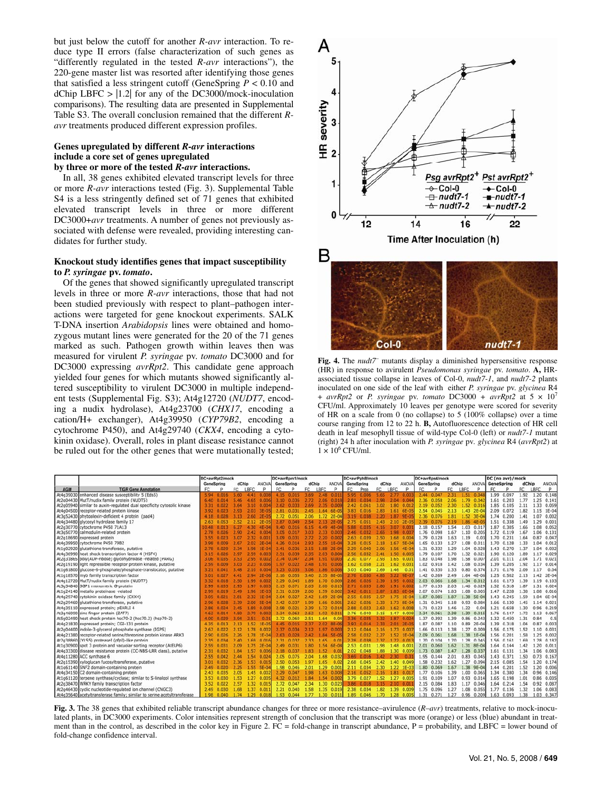but just below the cutoff for another *R-avr* interaction. To reduce type II errors (false characterization of such genes as "differently regulated in the tested *R-avr* interactions"), the 220-gene master list was resorted after identifying those genes that satisfied a less stringent cutoff (GeneSpring *P* < 0.10 and dChip LBFC  $>$  |1.2| for any of the DC3000/mock-inoculation comparisons). The resulting data are presented in Supplemental Table S3. The overall conclusion remained that the different *Ravr* treatments produced different expression profiles.

## **Genes upregulated by different** *R-avr* **interactions include a core set of genes upregulated by three or more of the tested** *R-avr* **interactions.**

In all, 38 genes exhibited elevated transcript levels for three or more *R-avr* interactions tested (Fig. 3). Supplemental Table S4 is a less stringently defined set of 71 genes that exhibited elevated transcript levels in three or more different DC3000+*avr* treatments. A number of genes not previously associated with defense were revealed, providing interesting candidates for further study.

## **Knockout study identifies genes that impact susceptibility to** *P. syringae* **pv.** *tomato***.**

Of the genes that showed significantly upregulated transcript levels in three or more *R-avr* interactions, those that had not been studied previously with respect to plant–pathogen interactions were targeted for gene knockout experiments. SALK T-DNA insertion *Arabidopsis* lines were obtained and homozygous mutant lines were generated for the 20 of the 71 genes marked as such. Pathogen growth within leaves then was measured for virulent *P. syringae* pv. *tomato* DC3000 and for DC3000 expressing *avrRpt2*. This candidate gene approach yielded four genes for which mutants showed significantly altered susceptibility to virulent DC3000 in multiple independent tests (Supplemental Fig. S3); At4g12720 (*NUDT7*, encoding a nudix hydrolase), At4g23700 (*CHX17*, encoding a cation/H+ exchanger), At4g39950 (*CYP79B2*, encoding a cytochrome P450), and At4g29740 (*CKX4*, encoding a cytokinin oxidase). Overall, roles in plant disease resistance cannot be ruled out for the other genes that were mutationally tested;



(HR) in response to avirulent *Pseudomonas syringae* pv. *tomato*. **A,** HRassociated tissue collapse in leaves of Col-0, *nudt7-1*, and *nudt7-2* plants inoculated on one side of the leaf with either *P. syringae* pv. *glycinea* R4 +  $avrRpt2$  or *P. syringae* pv. *tomato* DC3000 +  $avrRpt2$  at  $5 \times 10^7$ CFU/ml. Approximately 10 leaves per genotype were scored for severity of HR on a scale from 0 (no collapse) to 5 (100% collapse) over a time course ranging from 12 to 22 h. **B,** Autofluorescence detection of HR cell death in leaf mesophyll tissue of wild-type Col-0 (left) or *nudt7-1* mutant (right) 24 h after inoculation with *P. syringae* pv*. glycinea* R4 (*avrRpt2*) at  $1 \times 10^6$  CFU/ml.

|             |                                                                         | DC+avrRpt2/mock |                     |      |             |                            | DC+avrRpm1/mock |              |       |      |                | DC+avrPphB/mock   |                                                                             |             |             |                          | DC+avrRps4/mock |                 |       |      | DC (no avr)/mock           |      |                 |       |      |                |
|-------------|-------------------------------------------------------------------------|-----------------|---------------------|------|-------------|----------------------------|-----------------|--------------|-------|------|----------------|-------------------|-----------------------------------------------------------------------------|-------------|-------------|--------------------------|-----------------|-----------------|-------|------|----------------------------|------|-----------------|-------|------|----------------|
|             |                                                                         |                 | GeneSpring<br>dChip |      |             | GeneSpring<br><b>ANOVA</b> |                 |              | dChip |      | <b>ANOVA</b>   | GeneSpring        |                                                                             | dChip       |             | ANOVA                    | GeneSpring      |                 | dChip |      | ANOVA GeneSpring           |      |                 | dChip |      | ANOVA          |
| <b>AGI#</b> | <b>TIGR Gene Annotation</b>                                             | FC.             | $\circ$             | FC.  | LBFC        | P                          | FC              | D            | FC    | LBFC | P.             | FC                | Prob                                                                        |             | LBFC        | p                        | FC.             | Ð               | FC    | LBFC | p                          |      |                 | FC    | LBFC | P.             |
| At4q39030   | enhanced disease susceptibility 5 (Eds5)                                |                 | 5.94 0.016          | 5.60 | 4.41        | 0.00                       |                 | 4.15 0.015   | 3.69  | 2.48 | 0.011          | 5.95              | 0.006                                                                       | 5.65        |             | 0.00                     |                 | 2.44 0.047      | 2.31  | 1.51 | 0.04                       |      | 1.99 0.097      | 1.92  |      | 1.20 0.148     |
|             | At2g04430 MutT/nudix family protein (NUDTS)                             |                 | 6.40 0.014          | 5.46 | 4.65        | 0.006                      | 3.10            | 0.036        | 2.72  | 2.06 | 0.018          | 2.81              | 0.034                                                                       | 2.98        | 2.04        | 0.044                    | 2.36            | 0.058           | 2.06  | 1.79 | 0.042                      |      | 1.61 0.203      | 1.77  |      | 1.25 0.141     |
|             | At2q05940 similar to auxin-regulated dual specificity cytosolic kinase  | 3.31            | 0.022               | 3.64 | 3.10        | 0.004                      | 2.62            | 0.033        | 2.69  | 2.35 | 0.009          | 2.42              | 0.061                                                                       | 3.02        | 1.80        | 0.012                    | 2.19            | 0.052           | 2.30  | 1.52 | 0.016                      | 1.85 | 0.105           | 2.11  |      | 1.33 0.059     |
|             | At4q04500 receptor-related protein kinase                               | 3.92            | 0.023               | 2.93 | 2.03        | 3E-05                      |                 | 2.81 0.031   | 2.45  | 1.64 | 6E-05          | 3.83              | 0.016                                                                       | 2.83        | 1.61        | 6E-05                    |                 | 2.54 0.045      | 2.13  |      | $1.43$ $2E - 04$           |      | 2.09 0.072      | 1.82  |      | 1.15 1E-04     |
|             | At3q52430 phytoalexin-deficient 4 protein (pad4)                        | 4.18            | 0.028               | 3.13 | 2.60        | $2E-05$                    | 2.72            | 0.051        | 2.06  | 1.72 | $2E-04$        | 3.19              | 0.038                                                                       | 2.20        | 1.87        | 9E-05                    | 2.36            | 0.076           | 1.81  |      | $1.52 \quad 3E - 04$       |      | 1.74 0.200      | 1.41  | 1.07 | 0.002          |
|             | At4q34480 glycosyl hydrolase family 17                                  | 2.63            | 0.053               | 2.52 | 2.12        | $2E-05$                    | 2.87            | 0.049        | 2.54  | 2.13 | $2E - 05$      | 2.75              | 0.051                                                                       | 2.43        | 2.10        | $2E-05$                  |                 | 2.39 0.076      | 2.19  | 1.86 | $4E - 05$                  |      | 1.51 0.338      | 1.49  |      | 1.29 0.001     |
|             | At2q30770 cytochrome P450 71A13                                         | 10.48           |                     |      | 4.30        | 4E-04                      | 9.40            | 0.016        | 6.15  |      | $4.49$ $4E-04$ | 5.88              | 0.035                                                                       | 4.16        | 3.07        | 0.00                     |                 | 2.18 0.157 1.54 |       |      | 1.03 0.01                  |      | 1.87 0.305      | 1.66  |      | 1.08 0.052     |
|             | At3q50770 calmodulin-related protein                                    |                 |                     |      |             | 0.004                      | 3.05            | 0.017        | 3.03  | 2.33 | 0.003          | 2.46              | 0.032                                                                       | 2.65        | 1.98        | 0.00                     |                 | 1.76 0.098      | 1.67  | 1.10 | 0.205                      |      | 1.72 0.119 1.67 |       |      | 1.06 0.131     |
|             | At2g18690 expressed protein                                             | 3.55            | 0.023               | 3.07 | 2.32.       | 0.001                      | 3.09            | 0.031        |       | 2.20 | 0.002          | 2.63              | 0.039                                                                       | 2.50        | 1.68        | 0.004                    |                 | 1.79 0.128      | 1.63  | 1.19 | 0.03                       |      | 1.70 0.231      | 1.64  |      | 0.87 0.047     |
|             | At4q39950 cytochrome P450 7982                                          | 3.98            | 0.009               | 2.67 | 2.02        | $2E - 04$                  | 4.26            |              | 2.93  | 2.55 | $1E - 04$      | 3.28              | 0.015                                                                       | 2.18        | 1.67        | <b>5E-04</b>             |                 | 1.65 0.133      | 1.27  | 1.08 | 0.011                      | 1.70 | 0.128           | 1.33  |      | 1.04 0.012     |
|             | At1q02920 glutathione transferase, putative                             | 2.78            | 0.029               | 2.34 | 1.98        | $1E - 04$                  | 2.41            | 0.036        | 2.15  | 1.88 | $2E - 04$      | 2.29              | 0.040                                                                       | 2.06        |             | 1.56 4E-04               |                 | 1.31 0.332      | 1.29  | 1.04 | 0.028                      |      | 1.43 0.270      | 1.37  |      | 1.04 0.032     |
|             | At4q36990 heat shock transcription factor 4 (HSF4)                      | 3.15            | 0.026               | 2.97 | 2.59        | 0.003                      | 2.51            | 0.039        | 2.35  | 2.03 | 0.004          | 2.56              | 0.032                                                                       | 2.41        |             | 1.50 0.005               |                 | 1.79 0.107      | 1.70  |      | 1.32 0.021                 |      | 1.90 0.120      | 1.89  |      | 1.17 0.029     |
|             | At2g31865 poly(ADP-ribose) glycohydrolase -related (PARG)               | 3.06            | 0.035               | 3.53 | 2.95        | 0.002                      | 2.74            | 0.047        | 2.34  | 1.91 | 0.003          | 2.30 <sub>1</sub> | 0.077                                                                       | 2.93        | 1.65 0.00   |                          |                 | 1.83 0.148      | 1.98  | 1.58 | 0.00                       |      | 2.01 0.111      | 2.04  |      | 1.71 0.021     |
|             | At2q19190 light repressible receptor protein kinase, putative           |                 | 0.009               | 3.03 | 2.23        | 0.006                      | 1.97            | 0.022        | 2.48  | 1.91 | 0.006          | 1.62              | 0.058                                                                       | 2.21        | $1.62$ 0.03 |                          |                 | 1.02 0.918      | 1.42  | 1.08 | 0.034                      |      | 1.39 0.205      | 1.92  |      | 1.17 0.014     |
|             | At1q61800 glucose-6-phosphate/phosphate-translocator, putative          | 3.21            | 0.041               | 3.48 | 2.10        | 0.004                      | 3.23            | 0.035        | 3.06  | 1.86 | 0.006          | 3.03              | 0.040                                                                       | 2.69        | 1.46        | 0.0                      |                 | 1.41 0.330      | 1.33  | 0.80 | 0.374                      |      | 1.71 0.176      | 2.09  | 1.17 | 0.04           |
|             | At1q18570 myb family transcription factor                               | 3.01            | 0.027               |      | 2.94        | $2E-06I$                   | 2.16            | 0.055        | 3.40  | 2.35 | <b>8E-06</b>   | 2.76              | 0.030                                                                       | <b>4.85</b> | 3.22        | $9E-0$                   |                 | 1.42 0.269      | 2.49  | 1.64 | $4E - 06$                  | 1.25 | 0.502           | 2.13  | 1.42 | $2E - 04$      |
|             | At4g12720 MutT/nudix family protein (NUDT7)                             | 3.32            |                     | 2.50 | 1.99        | 0.002                      | 2.29            | 0.045        | 1.89  | 1.70 | 0.009          | 2.86              | 0.026                                                                       | 2.39        |             | 1.95 0.00                |                 | 2.03 0.066      | 1.68  | 1.34 | 0.012                      |      | 1.61 0.173      | 1.39  | 1.19 | 0.103          |
|             | At5q54840 SGP1 monomeric G-protein                                      | 2.99            | 0.035               | 2.93 | 1.97        | 0.003                      |                 | 2.15 0.071   | 2.65  | 2.00 | 0.013          | 2.71              | 0.035                                                                       | 2.80        |             | 1.91 0.00                |                 | $1.77$ 0.133    | 2.03  | 1.46 | 0.029                      |      | 1.52 0.318      | 1.87  |      | 1.31 0.024     |
|             | At1g24140 metallo proteinase -related                                   | 2.99            | 0.019               | 2.49 | 1.96        | $1E-03$                    |                 | 2.31 0.039   | 2.00  | 1.59 | 0.002          |                   | 3.42 0.011                                                                  | 2.87        |             | $1.83$ 6 <sub>E</sub> -0 |                 | 2.07 0.074      | 1.83  | 1.08 | 0.005                      |      | 1.47 0.228      | 1.38  |      | 1.08 0.016     |
|             | At4q29740 cytokinin oxidase family (CKX4)                               | 3.05            | 0.021               |      | 2.32        | $1E-04$                    | 2.64            | 0.027        | 2.42  | 1.69 | $2E-04$        | 2.55              | 0.035                                                                       | 2.57        | 1.75        | $1E-0$                   |                 | 1.87 0.085      | 1.87  |      | 1.38 5E-04                 |      | 1.43 0.245      | 1.59  |      | 1.04 6E-04     |
|             | At2g29460 glutathione transferase, putative                             | 2.96            | 0.028               | -39  | 2.00        | <b>SE-04</b>               | 2.42            | 0.037        | 1.99  | 1.66 | 0.001          | 2.62              | 0.026                                                                       | 2.33        | 1.73.       | $8E - 0$                 |                 | 1.31 0.345      | 1.18  | 0.93 | 0.084                      |      | 1.66 0.130      | 1.45  |      | 1.14 0.021     |
|             | At4q35110 expressed protein; pEARLI 4                                   | 2.86            | 0.024               | 7.45 | <b>1.89</b> | 0.008                      | 2.98            | 0.021        | 2.39  | 1.72 | 0.014          | 2.88              | 0.023                                                                       | 2.63        |             | 1.62 0.008               |                 | 1.71 0.123      | 1.46  | 1.22 | 0.04                       | 1.21 | 0.658           | 1.30  |      | 0.96 0.219     |
|             | At3g46090 zinc finger protein (ZAT7)                                    | 4.62            |                     | 4.50 | 2.79        | 0.002                      |                 | 2.34 0.063   | 2.52  | 1.92 | 0.011          | 2.76              | 0.040                                                                       | 3.15        |             | 1.47 0.008               |                 | 2.34 0.061      | 2.38  | 1.39 | 0.015                      |      | 1.76 0.147      | 1.72  |      | 1.13 0.067     |
|             | At5q02490 heat shock protein hsc70-2 (hsc70.2) (hsp70-2)                | $4.00 -$        | 0.029               | 3.94 | 2.51        | 0.0                        |                 | 2.72 0.060   | 2.51  | 1.64 | 0.04           | 3.36              | 0.035                                                                       | 3.32        | 1.87        | 0.02                     |                 | 1.37 0.392      | 1.39  | 0.86 | 0.243                      |      | 1.32 0.450      | 1.31  | 0.84 | 0.5            |
|             | At4q21830 expressed protein; CGI-131 protein                            | 4.35            | 0.013               | 2.13 | 1.52        | $1E-05$                    |                 | 4.45 0.015   | 2.37  | 2.02 | $8E - 06$      | 3.93              | 0.014                                                                       | 2.33        | 2.01        | $2E - 0$                 |                 | 1.87 0.087      | 1.10  |      | $0.89$ 2E-04               |      | 1.39 0.318      | 1.04  |      | 0.87 0.003     |
|             | At2g04400 indole-3-glycerol phosphate synthase (IGPS)                   | 2.67            | 0.022               | 2.12 | 1.78        | 0.002                      | 2.37            | 0.034        | 2.12  | 1.97 | 0.003          | 2.12              | 0.044                                                                       | 2.16        |             | 1.73 0.00                |                 | 1.66 0.113      | 1.38  | 1.27 | 0.009                      |      | 1.56 0.175      | 1.52  | 1.10 | 0.031          |
|             | At4g21380 receptor-related serine/threonine protein kinase ARK3         | 2.90            | 0.026               | .26  | .78         | $1E-04$                    | 2.63            | 0.028        | 2.42  | 1.84 | <b>5E-05</b>   | 2.58              | 0.032                                                                       | 2.27        | 1.52        | $1E-0$                   |                 | 2.09 0.061      | 1.68  | 1.38 | $IE-04$                    |      | 1.56 0.201      | 1.58  |      | 1.25 0.002     |
|             | At2q38860 (YLS5) proteaseI (pfpI)-like protein                          | 2.35            | 0.034               | 2.40 | 1.69        | 0.016                      | 2.31            | 0.037        | 2.33  | 1.65 | 0.01           | 2.28              | 0.038                                                                       | 2.37        |             | 1.72 0.01                |                 | 1.70 0.104      | 1.70  | 1.28 | 0.045                      | 1.56 | 0.161           | 1.69  |      | 1.28 0.182     |
|             | At1g30900 spot 3 protein and vacuolar sorting receptor (AtELP6)         | 2.59            | 0.031               | 2.09 | 1.75        | $2E-04$                    | 2.49            | 0.031        | 1.80  | 1.54 | 6E-04          | 2.53              | 0.031                                                                       | 1.98        |             | 1.48 0.001               |                 | 2.01 0.060      | 1.62  |      | 1.31 8E-04                 |      | 1.64 0.144      | 1.42  | 1.20 | 0.011          |
|             | At4q33300 disease resistance protein (CC-NBS-LRR class), putative       | 2.31            | 0.032               | 1.84 | 1.57        | 0.006                      | 2.18            | 0.037        | 1.83  | 1.52 | 0.01           | 2.02              | 0.048                                                                       | 1.88        |             | 1.30 0.009               |                 | 1.73 0.087      | 1.47  | 1.28 | 0.037                      |      | 1.61 0.131      | 1.34  |      | 1.06 0.083     |
|             | At4g11280 ACC synthase 6                                                | 2.55            |                     | 2.44 | 1.54        | 0.024                      |                 | 2.05 0.075   | 2.04  | 1.68 | 0.032          | 3.69.             |                                                                             | 3.42        | 2.30        | 0.0                      |                 | 1.95 0.144      | 2.01  |      | 0.83 0.045                 | 1.43 | 0.371           | 1.50  |      | $0.73$ $0.167$ |
|             | At2q15390 xyloglucan fucosyltransferase, putative                       | 3.01            | 0.032               | 2.36 | 1.53        | 0.015                      |                 | 2.50 0.053   | 1.97  | 1.65 | 0.02           | 2.68              | 0.045                                                                       | 2.42        |             | 1.40 0.049               |                 | 1.58 0.232      | 1.62  |      | 1.27 0.094                 |      | 2.15 0.085      | 1.54  | 1.20 | 0.174          |
|             | At1g61140 SNF2 domain-containing protein                                | 2.49            | 0.020               | .25  | 1.55        | 5E-04                      | 1.98            | 0.046        | 2.01  | 1.29 | 0.001          | 2.11              | 0.034                                                                       | 2.30        | 1.22        | $1E-0$                   |                 | 1.80 0.069      | 1.67  |      | 1.38 9E-04                 | 1.44 | 0.201           | 1.52  | 1.20 | 0.006          |
|             | At4q34150 C2 domain-containing protein                                  | 2.43            | 0.035               | 2.05 | 1.45        | 0.002                      | 2.29            | 0.047        | 1.98  | 1.63 | 0.008          | 2.16              | 0.052                                                                       | 2.16        | 1.81 0.01   |                          |                 | 1.77 0.106      | 1.39  | 1.00 | 0.065                      | 1.34 | 0.380           | 1.34  |      | 0.96 0.146     |
|             | At1g61120 terpene synthase/cyclase; similar to S-linalool synthase      | 3.53            | 0.030               | 1.53 | 1.27        | 0.005                      | 4.32            | 0.012        | 1.84  | 1.54 | 0.002          | 3.79              | 0.027                                                                       | 1.52        |             | 1.27 0.005               |                 | 1.91 0.109      | 1.07  | 0.93 | 0.014                      | 1.65 | 0.198           | 1.01  | 0.86 | 0.035          |
|             | At2q38470 WRKY family transcription factor                              | 3.52            | 0.022               | 2.57 | 1.32        | 0.015                      |                 | 2.72 0.047   | 2.34  |      | 1.30 0.023     | 3.86              | 0.018                                                                       | 3.15        | 2.10        | 0.01                     |                 | 2.15 0.084      | 1.83  | 1.17 | 0.046                      | 1.64 | 0.214           | 1.54  |      | 0.92 0.087     |
|             | At2q46430 cyclic nucleotide-regulated ion channel (CNGC3)               |                 | $2.49$ 0.030        | 1.68 |             | 1.37 0.011                 |                 | $2.21$ 0.040 | 1.58  |      | 1.35 0.019     |                   | 2.38 0.034 1.82 1.39 0.009                                                  |             |             |                          |                 | 1.75 0.096      | 1.27  |      | 1.08 0.055                 |      | 1.77 0.136      | 1.32  |      | 1.06 0.083     |
|             | At4g35640 acetyltransferase family: similar to serine acetyltransferase | 1.98            |                     |      |             |                            |                 |              |       |      |                |                   | 0.040 1.74 1.29 0.018 1.93 0.044 1.77 1.30 0.011 1.89 0.046 1.70 1.28 0.005 |             |             |                          |                 |                 |       |      | 1.31 0.271 1.27 0.96 0.209 |      | 1.63 0.093 1.38 |       |      | 1.03 0.347     |

**Fig. 3.** The 38 genes that exhibited reliable transcript abundance changes for three or more resistance–avirulence (*R–avr*) treatments, relative to mock-inoculated plants, in DC3000 experiments. Color intensities represent strength of conclusion that the transcript was more (orange) or less (blue) abundant in treatment than in the control, as described in the color key in Figure 2. FC = fold-change in transcript abundance, P = probability, and LBFC = lower bound of fold-change confidence interval.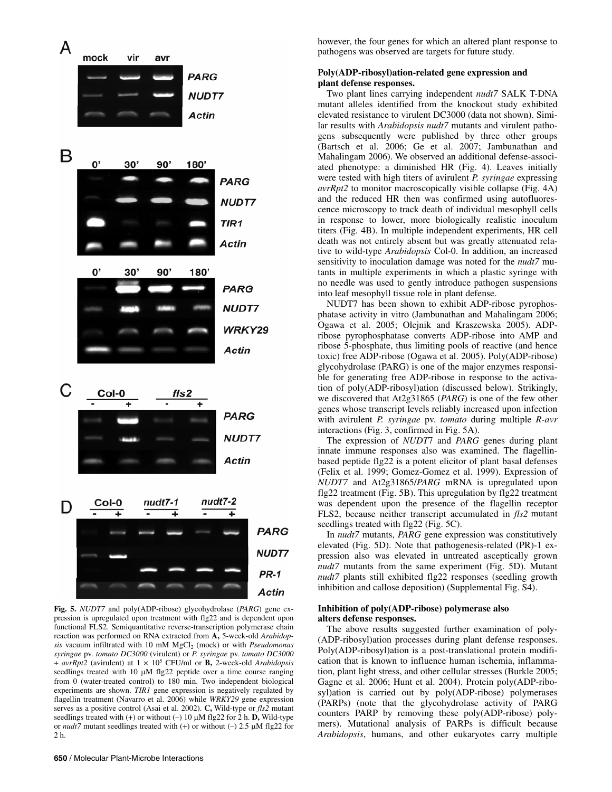

**Fig. 5.** *NUDT7* and poly(ADP-ribose) glycohydrolase (*PARG*) gene expression is upregulated upon treatment with flg22 and is dependent upon functional FLS2. Semiquantitative reverse-transcription polymerase chain reaction was performed on RNA extracted from **A,** 5-week-old *Arabidopsis* vacuum infiltrated with 10 mM MgCl<sub>2</sub> (mock) or with *Pseudomonas syringae* pv. *tomato DC3000* (virulent) or *P. syringae* pv. *tomato DC3000* + *avrRpt2* (avirulent) at 1 × 105 CFU/ml or **B,** 2-week-old *Arabidopsis* seedlings treated with 10 μM flg22 peptide over a time course ranging from 0 (water-treated control) to 180 min. Two independent biological experiments are shown. *TIR1* gene expression is negatively regulated by flagellin treatment (Navarro et al. 2006) while *WRKY29* gene expression serves as a positive control (Asai et al. 2002). **C,** Wild-type or *fls2* mutant seedlings treated with  $(+)$  or without  $(-)$  10  $\mu$ M flg22 for 2 h. **D**, Wild-type or *nudt7* mutant seedlings treated with (+) or without (–) 2.5 μM flg22 for 2 h.

however, the four genes for which an altered plant response to pathogens was observed are targets for future study.

# **Poly(ADP-ribosyl)ation-related gene expression and plant defense responses.**

Two plant lines carrying independent *nudt7* SALK T-DNA mutant alleles identified from the knockout study exhibited elevated resistance to virulent DC3000 (data not shown). Similar results with *Arabidopsis nudt7* mutants and virulent pathogens subsequently were published by three other groups (Bartsch et al. 2006; Ge et al. 2007; Jambunathan and Mahalingam 2006). We observed an additional defense-associated phenotype: a diminished HR (Fig. 4). Leaves initially were tested with high titers of avirulent *P. syringae* expressing *avrRpt2* to monitor macroscopically visible collapse (Fig. 4A) and the reduced HR then was confirmed using autofluorescence microscopy to track death of individual mesophyll cells in response to lower, more biologically realistic inoculum titers (Fig. 4B). In multiple independent experiments, HR cell death was not entirely absent but was greatly attenuated relative to wild-type *Arabidopsis* Col-0. In addition, an increased sensitivity to inoculation damage was noted for the *nudt7* mutants in multiple experiments in which a plastic syringe with no needle was used to gently introduce pathogen suspensions into leaf mesophyll tissue role in plant defense.

NUDT7 has been shown to exhibit ADP-ribose pyrophosphatase activity in vitro (Jambunathan and Mahalingam 2006; Ogawa et al. 2005; Olejnik and Kraszewska 2005). ADPribose pyrophosphatase converts ADP-ribose into AMP and ribose 5-phosphate, thus limiting pools of reactive (and hence toxic) free ADP-ribose (Ogawa et al. 2005). Poly(ADP-ribose) glycohydrolase (PARG) is one of the major enzymes responsible for generating free ADP-ribose in response to the activation of poly(ADP-ribosyl)ation (discussed below). Strikingly, we discovered that At2g31865 (*PARG*) is one of the few other genes whose transcript levels reliably increased upon infection with avirulent *P. syringae* pv. *tomato* during multiple *R-avr* interactions (Fig. 3, confirmed in Fig. 5A).

The expression of *NUDT*7 and *PARG* genes during plant innate immune responses also was examined. The flagellinbased peptide flg22 is a potent elicitor of plant basal defenses (Felix et al. 1999; Gomez-Gomez et al. 1999). Expression of *NUDT7* and At2g31865/*PARG* mRNA is upregulated upon flg22 treatment (Fig. 5B). This upregulation by flg22 treatment was dependent upon the presence of the flagellin receptor FLS2, because neither transcript accumulated in *fls2* mutant seedlings treated with flg22 (Fig. 5C).

In *nudt7* mutants, *PARG* gene expression was constitutively elevated (Fig. 5D). Note that pathogenesis-related (PR)-1 expression also was elevated in untreated asceptically grown *nudt7* mutants from the same experiment (Fig. 5D). Mutant *nudt7* plants still exhibited flg22 responses (seedling growth inhibition and callose deposition) (Supplemental Fig. S4).

#### **Inhibition of poly(ADP-ribose) polymerase also alters defense responses.**

The above results suggested further examination of poly- (ADP-ribosyl)ation processes during plant defense responses. Poly(ADP-ribosyl)ation is a post-translational protein modification that is known to influence human ischemia, inflammation, plant light stress, and other cellular stresses (Burkle 2005; Gagne et al. 2006; Hunt et al. 2004). Protein poly(ADP-ribosyl)ation is carried out by poly(ADP-ribose) polymerases (PARPs) (note that the glycohydrolase activity of PARG counters PARP by removing these poly(ADP-ribose) polymers). Mutational analysis of PARPs is difficult because *Arabidopsis*, humans, and other eukaryotes carry multiple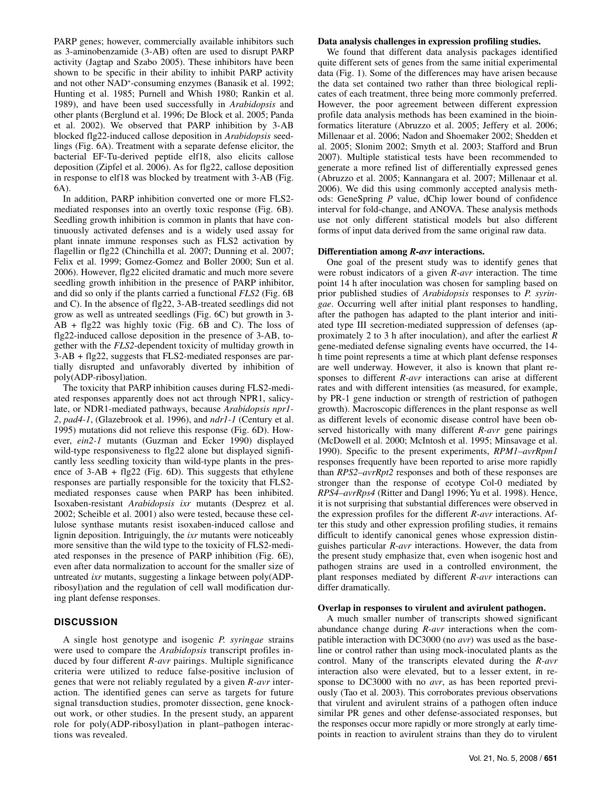PARP genes; however, commercially available inhibitors such as 3-aminobenzamide (3-AB) often are used to disrupt PARP activity (Jagtap and Szabo 2005). These inhibitors have been shown to be specific in their ability to inhibit PARP activity and not other NAD+ -consuming enzymes (Banasik et al. 1992; Hunting et al. 1985; Purnell and Whish 1980; Rankin et al. 1989), and have been used successfully in *Arabidopsis* and other plants (Berglund et al. 1996; De Block et al. 2005; Panda et al. 2002). We observed that PARP inhibition by 3-AB blocked flg22-induced callose deposition in *Arabidopsis* seedlings (Fig. 6A). Treatment with a separate defense elicitor, the bacterial EF-Tu-derived peptide elf18, also elicits callose deposition (Zipfel et al. 2006). As for flg22, callose deposition in response to elf18 was blocked by treatment with 3-AB (Fig. 6A).

In addition, PARP inhibition converted one or more FLS2 mediated responses into an overtly toxic response (Fig. 6B). Seedling growth inhibition is common in plants that have continuously activated defenses and is a widely used assay for plant innate immune responses such as FLS2 activation by flagellin or flg22 (Chinchilla et al. 2007; Dunning et al. 2007; Felix et al. 1999; Gomez-Gomez and Boller 2000; Sun et al. 2006). However, flg22 elicited dramatic and much more severe seedling growth inhibition in the presence of PARP inhibitor, and did so only if the plants carried a functional *FLS2* (Fig. 6B and C). In the absence of flg22, 3-AB-treated seedlings did not grow as well as untreated seedlings (Fig. 6C) but growth in 3-  $AB + f\left|g\right|/2$  was highly toxic (Fig. 6B and C). The loss of flg22-induced callose deposition in the presence of 3-AB, together with the *FLS2*-dependent toxicity of multiday growth in 3-AB + flg22, suggests that FLS2-mediated responses are partially disrupted and unfavorably diverted by inhibition of poly(ADP-ribosyl)ation.

The toxicity that PARP inhibition causes during FLS2-mediated responses apparently does not act through NPR1, salicylate, or NDR1-mediated pathways, because *Arabidopsis npr1- 2*, *pad4-1*, (Glazebrook et al. 1996), and *ndr1-1* (Century et al. 1995) mutations did not relieve this response (Fig. 6D). However, *ein2-1* mutants (Guzman and Ecker 1990) displayed wild-type responsiveness to flg22 alone but displayed significantly less seedling toxicity than wild-type plants in the presence of  $3-AB + f\left(\frac{1}{2}\right)$  (Fig. 6D). This suggests that ethylene responses are partially responsible for the toxicity that FLS2 mediated responses cause when PARP has been inhibited. Isoxaben-resistant *Arabidopsis ixr* mutants (Desprez et al. 2002; Scheible et al. 2001) also were tested, because these cellulose synthase mutants resist isoxaben-induced callose and lignin deposition. Intriguingly, the *ixr* mutants were noticeably more sensitive than the wild type to the toxicity of FLS2-mediated responses in the presence of PARP inhibition (Fig. 6E), even after data normalization to account for the smaller size of untreated *ixr* mutants, suggesting a linkage between poly(ADPribosyl)ation and the regulation of cell wall modification during plant defense responses.

# **DISCUSSION**

A single host genotype and isogenic *P. syringae* strains were used to compare the *Arabidopsis* transcript profiles induced by four different *R-avr* pairings. Multiple significance criteria were utilized to reduce false-positive inclusion of genes that were not reliably regulated by a given *R-avr* interaction. The identified genes can serve as targets for future signal transduction studies, promoter dissection, gene knockout work, or other studies. In the present study, an apparent role for poly(ADP-ribosyl)ation in plant–pathogen interactions was revealed.

#### **Data analysis challenges in expression profiling studies.**

We found that different data analysis packages identified quite different sets of genes from the same initial experimental data (Fig. 1). Some of the differences may have arisen because the data set contained two rather than three biological replicates of each treatment, three being more commonly preferred. However, the poor agreement between different expression profile data analysis methods has been examined in the bioinformatics literature (Abruzzo et al. 2005; Jeffery et al. 2006; Millenaar et al. 2006; Nadon and Shoemaker 2002; Shedden et al. 2005; Slonim 2002; Smyth et al. 2003; Stafford and Brun 2007). Multiple statistical tests have been recommended to generate a more refined list of differentially expressed genes (Abruzzo et al. 2005; Kannangara et al. 2007; Millenaar et al. 2006). We did this using commonly accepted analysis methods: GeneSpring *P* value, dChip lower bound of confidence interval for fold-change, and ANOVA. These analysis methods use not only different statistical models but also different forms of input data derived from the same original raw data.

#### **Differentiation among** *R-avr* **interactions.**

One goal of the present study was to identify genes that were robust indicators of a given *R-avr* interaction. The time point 14 h after inoculation was chosen for sampling based on prior published studies of *Arabidopsis* responses to *P. syringae*. Occurring well after initial plant responses to handling, after the pathogen has adapted to the plant interior and initiated type III secretion-mediated suppression of defenses (approximately 2 to 3 h after inoculation), and after the earliest *R* gene-mediated defense signaling events have occurred, the 14 h time point represents a time at which plant defense responses are well underway. However, it also is known that plant responses to different *R-avr* interactions can arise at different rates and with different intensities (as measured, for example, by PR-1 gene induction or strength of restriction of pathogen growth). Macroscopic differences in the plant response as well as different levels of economic disease control have been observed historically with many different *R-avr* gene pairings (McDowell et al. 2000; McIntosh et al. 1995; Minsavage et al. 1990). Specific to the present experiments, *RPM1–avrRpm1* responses frequently have been reported to arise more rapidly than *RPS2–avrRpt2* responses and both of these responses are stronger than the response of ecotype Col-0 mediated by *RPS4–avrRps4* (Ritter and Dangl 1996; Yu et al. 1998). Hence, it is not surprising that substantial differences were observed in the expression profiles for the different *R-avr* interactions. After this study and other expression profiling studies, it remains difficult to identify canonical genes whose expression distinguishes particular *R-avr* interactions. However, the data from the present study emphasize that, even when isogenic host and pathogen strains are used in a controlled environment, the plant responses mediated by different *R-avr* interactions can differ dramatically.

#### **Overlap in responses to virulent and avirulent pathogen.**

A much smaller number of transcripts showed significant abundance change during *R-avr* interactions when the compatible interaction with DC3000 (no *avr*) was used as the baseline or control rather than using mock-inoculated plants as the control. Many of the transcripts elevated during the *R-avr* interaction also were elevated, but to a lesser extent, in response to DC3000 with no *avr*, as has been reported previously (Tao et al. 2003). This corroborates previous observations that virulent and avirulent strains of a pathogen often induce similar PR genes and other defense-associated responses, but the responses occur more rapidly or more strongly at early timepoints in reaction to avirulent strains than they do to virulent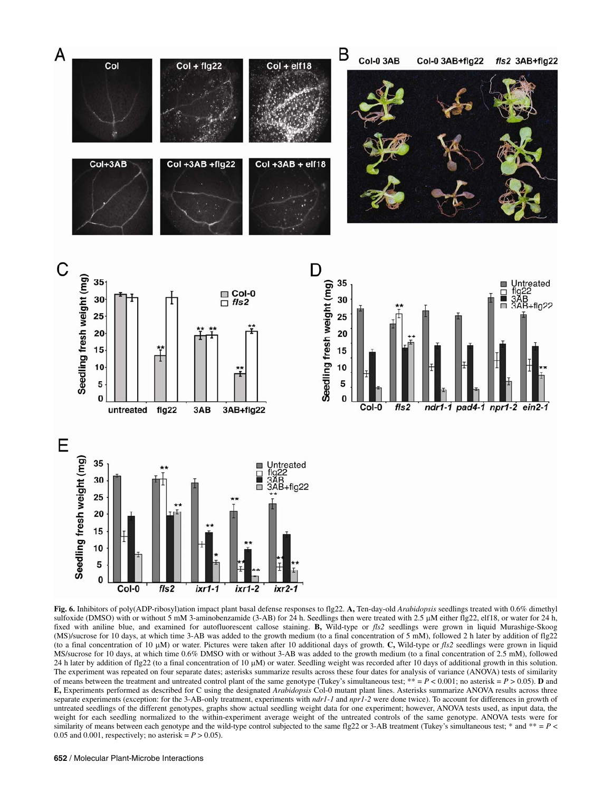



**Fig. 6.** Inhibitors of poly(ADP-ribosyl)ation impact plant basal defense responses to flg22. **A,** Ten-day-old *Arabidopsis* seedlings treated with 0.6% dimethyl sulfoxide (DMSO) with or without 5 mM 3-aminobenzamide (3-AB) for 24 h. Seedlings then were treated with 2.5 μM either flg22, elf18, or water for 24 h, fixed with aniline blue, and examined for autofluorescent callose staining. **B,** Wild-type or *fls2* seedlings were grown in liquid Murashige-Skoog (MS)/sucrose for 10 days, at which time 3-AB was added to the growth medium (to a final concentration of 5 mM), followed 2 h later by addition of flg22 (to a final concentration of 10 μM) or water. Pictures were taken after 10 additional days of growth. **C,** Wild-type or *fls2* seedlings were grown in liquid MS/sucrose for 10 days, at which time 0.6% DMSO with or without 3-AB was added to the growth medium (to a final concentration of 2.5 mM), followed 24 h later by addition of flg22 (to a final concentration of 10  $\mu$ M) or water. Seedling weight was recorded after 10 days of additional growth in this solution. The experiment was repeated on four separate dates; asterisks summarize results across these four dates for analysis of variance (ANOVA) tests of similarity of means between the treatment and untreated control plant of the same genotype (Tukey's simultaneous test;  $** = P < 0.001$ ; no asterisk =  $P > 0.05$ ). **D** and **E,** Experiments performed as described for C using the designated *Arabidopsis* Col-0 mutant plant lines. Asterisks summarize ANOVA results across three separate experiments (exception: for the 3-AB-only treatment, experiments with *ndr1-1* and *npr1-2* were done twice). To account for differences in growth of untreated seedlings of the different genotypes, graphs show actual seedling weight data for one experiment; however, ANOVA tests used, as input data, the weight for each seedling normalized to the within-experiment average weight of the untreated controls of the same genotype. ANOVA tests were for similarity of means between each genotype and the wild-type control subjected to the same flg22 or 3-AB treatment (Tukey's simultaneous test; \* and \*\* =  $P$  < 0.05 and 0.001, respectively; no asterisk =  $P > 0.05$ ).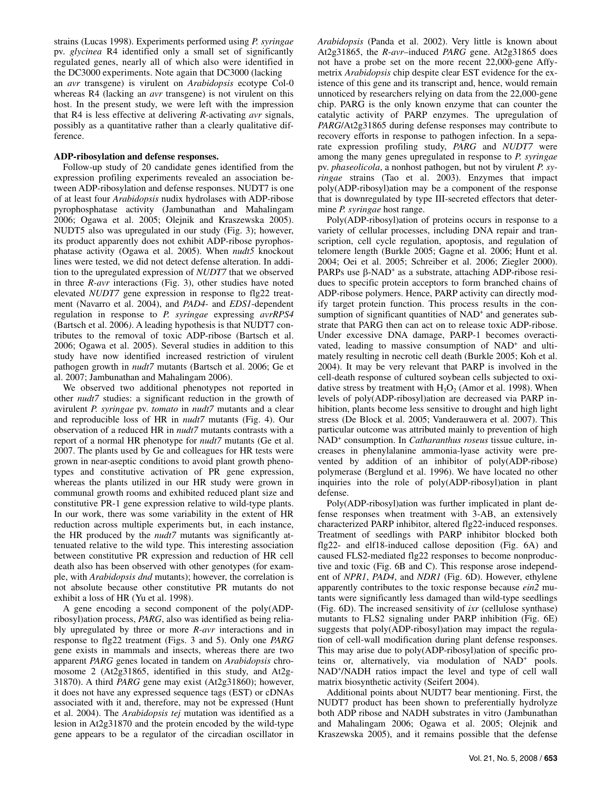strains (Lucas 1998). Experiments performed using *P. syringae* pv. *glycinea* R4 identified only a small set of significantly regulated genes, nearly all of which also were identified in the DC3000 experiments. Note again that DC3000 (lacking an *avr* transgene) is virulent on *Arabidopsis* ecotype Col-0 whereas R4 (lacking an *avr* transgene) is not virulent on this host. In the present study, we were left with the impression that R4 is less effective at delivering *R*-activating *avr* signals, possibly as a quantitative rather than a clearly qualitative difference.

# **ADP-ribosylation and defense responses.**

Follow-up study of 20 candidate genes identified from the expression profiling experiments revealed an association between ADP-ribosylation and defense responses. NUDT7 is one of at least four *Arabidopsis* nudix hydrolases with ADP-ribose pyrophosphatase activity (Jambunathan and Mahalingam 2006; Ogawa et al. 2005; Olejnik and Kraszewska 2005). NUDT5 also was upregulated in our study (Fig. 3); however, its product apparently does not exhibit ADP-ribose pyrophosphatase activity (Ogawa et al. 2005). When *nudt5* knockout lines were tested, we did not detect defense alteration. In addition to the upregulated expression of *NUDT7* that we observed in three *R-avr* interactions (Fig. 3), other studies have noted elevated *NUDT7* gene expression in response to flg22 treatment (Navarro et al. 2004), and *PAD4*- and *EDS1*-dependent regulation in response to *P. syringae* expressing *avrRPS4*  (Bartsch et al. 2006*)*. A leading hypothesis is that NUDT7 contributes to the removal of toxic ADP-ribose (Bartsch et al. 2006; Ogawa et al. 2005). Several studies in addition to this study have now identified increased restriction of virulent pathogen growth in *nudt7* mutants (Bartsch et al. 2006; Ge et al. 2007; Jambunathan and Mahalingam 2006).

We observed two additional phenotypes not reported in other *nudt7* studies: a significant reduction in the growth of avirulent *P. syringae* pv. *tomato* in *nudt7* mutants and a clear and reproducible loss of HR in *nudt7* mutants (Fig. 4). Our observation of a reduced HR in *nudt7* mutants contrasts with a report of a normal HR phenotype for *nudt7* mutants (Ge et al. 2007. The plants used by Ge and colleagues for HR tests were grown in near-aseptic conditions to avoid plant growth phenotypes and constitutive activation of PR gene expression, whereas the plants utilized in our HR study were grown in communal growth rooms and exhibited reduced plant size and constitutive PR-1 gene expression relative to wild-type plants. In our work, there was some variability in the extent of HR reduction across multiple experiments but, in each instance, the HR produced by the *nudt7* mutants was significantly attenuated relative to the wild type. This interesting association between constitutive PR expression and reduction of HR cell death also has been observed with other genotypes (for example, with *Arabidopsis dnd* mutants); however, the correlation is not absolute because other constitutive PR mutants do not exhibit a loss of HR (Yu et al. 1998).

A gene encoding a second component of the poly(ADPribosyl)ation process, *PARG*, also was identified as being reliably upregulated by three or more *R-avr* interactions and in response to flg22 treatment (Figs. 3 and 5). Only one *PARG* gene exists in mammals and insects, whereas there are two apparent *PARG* genes located in tandem on *Arabidopsis* chromosome 2 (At2g31865, identified in this study, and At2g-31870). A third *PARG* gene may exist (At2g31860); however, it does not have any expressed sequence tags (EST) or cDNAs associated with it and, therefore, may not be expressed (Hunt et al. 2004). The *Arabidopsis tej* mutation was identified as a lesion in At2g31870 and the protein encoded by the wild-type gene appears to be a regulator of the circadian oscillator in

*Arabidopsis* (Panda et al. 2002). Very little is known about At2g31865, the *R*-*avr*–induced *PARG* gene. At2g31865 does not have a probe set on the more recent 22,000-gene Affymetrix *Arabidopsis* chip despite clear EST evidence for the existence of this gene and its transcript and, hence, would remain unnoticed by researchers relying on data from the 22,000-gene chip. PARG is the only known enzyme that can counter the catalytic activity of PARP enzymes. The upregulation of *PARG*/At2g31865 during defense responses may contribute to recovery efforts in response to pathogen infection. In a separate expression profiling study, *PARG* and *NUDT7* were among the many genes upregulated in response to *P. syringae* pv. *phaseolicola*, a nonhost pathogen, but not by virulent *P. syringae* strains (Tao et al. 2003). Enzymes that impact poly(ADP-ribosyl)ation may be a component of the response that is downregulated by type III-secreted effectors that determine *P. syringae* host range.

Poly(ADP-ribosyl)ation of proteins occurs in response to a variety of cellular processes, including DNA repair and transcription, cell cycle regulation, apoptosis, and regulation of telomere length (Burkle 2005; Gagne et al. 2006; Hunt et al. 2004; Oei et al. 2005; Schreiber et al. 2006; Ziegler 2000). PARPs use  $\beta$ -NAD<sup>+</sup> as a substrate, attaching ADP-ribose residues to specific protein acceptors to form branched chains of ADP-ribose polymers. Hence, PARP activity can directly modify target protein function. This process results in the consumption of significant quantities of NAD<sup>+</sup> and generates substrate that PARG then can act on to release toxic ADP-ribose. Under excessive DNA damage, PARP-1 becomes overactivated, leading to massive consumption of NAD<sup>+</sup> and ultimately resulting in necrotic cell death (Burkle 2005; Koh et al. 2004). It may be very relevant that PARP is involved in the cell-death response of cultured soybean cells subjected to oxidative stress by treatment with  $H_2O_2$  (Amor et al. 1998). When levels of poly(ADP-ribosyl)ation are decreased via PARP inhibition, plants become less sensitive to drought and high light stress (De Block et al. 2005; Vanderauwera et al. 2007). This particular outcome was attributed mainly to prevention of high NAD+ consumption. In *Catharanthus roseus* tissue culture, increases in phenylalanine ammonia-lyase activity were prevented by addition of an inhibitor of poly(ADP-ribose) polymerase (Berglund et al. 1996). We have located no other inquiries into the role of poly(ADP-ribosyl)ation in plant defense.

Poly(ADP-ribosyl)ation was further implicated in plant defense responses when treatment with 3-AB, an extensively characterized PARP inhibitor, altered flg22-induced responses. Treatment of seedlings with PARP inhibitor blocked both flg22- and elf18-induced callose deposition (Fig. 6A) and caused FLS2-mediated flg22 responses to become nonproductive and toxic (Fig. 6B and C). This response arose independent of *NPR1*, *PAD4*, and *NDR1* (Fig. 6D). However, ethylene apparently contributes to the toxic response because *ein2* mutants were significantly less damaged than wild-type seedlings (Fig. 6D). The increased sensitivity of *ixr* (cellulose synthase) mutants to FLS2 signaling under PARP inhibition (Fig. 6E) suggests that poly(ADP-ribosyl)ation may impact the regulation of cell-wall modification during plant defense responses. This may arise due to poly(ADP-ribosyl)ation of specific proteins or, alternatively, via modulation of NAD<sup>+</sup> pools. NAD+ /NADH ratios impact the level and type of cell wall matrix biosynthetic activity (Seifert 2004).

Additional points about NUDT7 bear mentioning. First, the NUDT7 product has been shown to preferentially hydrolyze both ADP ribose and NADH substrates in vitro (Jambunathan and Mahalingam 2006; Ogawa et al. 2005; Olejnik and Kraszewska 2005), and it remains possible that the defense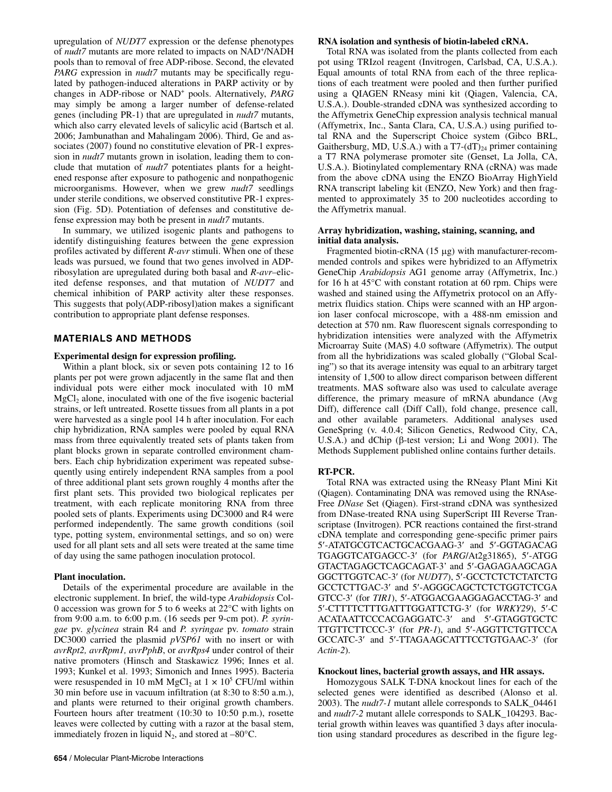upregulation of *NUDT7* expression or the defense phenotypes of *nudt7* mutants are more related to impacts on NAD<sup>+</sup>/NADH pools than to removal of free ADP-ribose. Second, the elevated *PARG* expression in *nudt7* mutants may be specifically regulated by pathogen-induced alterations in PARP activity or by changes in ADP-ribose or NAD+ pools. Alternatively, *PARG* may simply be among a larger number of defense-related genes (including PR-1) that are upregulated in *nudt7* mutants, which also carry elevated levels of salicylic acid (Bartsch et al. 2006; Jambunathan and Mahalingam 2006). Third, Ge and associates (2007) found no constitutive elevation of PR-1 expression in *nudt7* mutants grown in isolation, leading them to conclude that mutation of *nudt7* potentiates plants for a heightened response after exposure to pathogenic and nonpathogenic microorganisms. However, when we grew *nudt7* seedlings under sterile conditions, we observed constitutive PR-1 expression (Fig. 5D). Potentiation of defenses and constitutive defense expression may both be present in *nudt7* mutants.

In summary, we utilized isogenic plants and pathogens to identify distinguishing features between the gene expression profiles activated by different *R-avr* stimuli. When one of these leads was pursued, we found that two genes involved in ADPribosylation are upregulated during both basal and *R*-*avr–*elicited defense responses, and that mutation of *NUDT7* and chemical inhibition of PARP activity alter these responses. This suggests that poly(ADP-ribosyl)ation makes a significant contribution to appropriate plant defense responses.

# **MATERIALS AND METHODS**

# **Experimental design for expression profiling.**

Within a plant block, six or seven pots containing 12 to 16 plants per pot were grown adjacently in the same flat and then individual pots were either mock inoculated with 10 mM  $MgCl<sub>2</sub>$  alone, inoculated with one of the five isogenic bacterial strains, or left untreated. Rosette tissues from all plants in a pot were harvested as a single pool 14 h after inoculation. For each chip hybridization, RNA samples were pooled by equal RNA mass from three equivalently treated sets of plants taken from plant blocks grown in separate controlled environment chambers. Each chip hybridization experiment was repeated subsequently using entirely independent RNA samples from a pool of three additional plant sets grown roughly 4 months after the first plant sets. This provided two biological replicates per treatment, with each replicate monitoring RNA from three pooled sets of plants. Experiments using DC3000 and R4 were performed independently. The same growth conditions (soil type, potting system, environmental settings, and so on) were used for all plant sets and all sets were treated at the same time of day using the same pathogen inoculation protocol.

# **Plant inoculation.**

Details of the experimental procedure are available in the electronic supplement. In brief, the wild-type *Arabidopsis* Col-0 accession was grown for 5 to 6 weeks at 22°C with lights on from 9:00 a.m. to 6:00 p.m. (16 seeds per 9-cm pot). *P. syringae* pv. *glycinea* strain R4 and *P. syringae* pv. *tomato* strain DC3000 carried the plasmid *pVSP61* with no insert or with *avrRpt2, avrRpm1, avrPphB*, or *avrRps4* under control of their native promoters (Hinsch and Staskawicz 1996; Innes et al. 1993; Kunkel et al. 1993; Simonich and Innes 1995). Bacteria were resuspended in 10 mM  $MgCl<sub>2</sub>$  at  $1 \times 10^5$  CFU/ml within 30 min before use in vacuum infiltration (at 8:30 to 8:50 a.m.), and plants were returned to their original growth chambers. Fourteen hours after treatment (10:30 to 10:50 p.m.), rosette leaves were collected by cutting with a razor at the basal stem, immediately frozen in liquid  $N_2$ , and stored at  $-80^{\circ}$ C.

#### **RNA isolation and synthesis of biotin-labeled cRNA.**

Total RNA was isolated from the plants collected from each pot using TRIzol reagent (Invitrogen, Carlsbad, CA, U.S.A.). Equal amounts of total RNA from each of the three replications of each treatment were pooled and then further purified using a QIAGEN RNeasy mini kit (Qiagen, Valencia, CA, U.S.A.). Double-stranded cDNA was synthesized according to the Affymetrix GeneChip expression analysis technical manual (Affymetrix, Inc., Santa Clara, CA, U.S.A.) using purified total RNA and the Superscript Choice system (Gibco BRL, Gaithersburg, MD, U.S.A.) with a  $T7-(dT)_{24}$  primer containing a T7 RNA polymerase promoter site (Genset, La Jolla, CA, U.S.A.). Biotinylated complementary RNA (cRNA) was made from the above cDNA using the ENZO BioArray HighYield RNA transcript labeling kit (ENZO, New York) and then fragmented to approximately 35 to 200 nucleotides according to the Affymetrix manual.

# **Array hybridization, washing, staining, scanning, and initial data analysis.**

Fragmented biotin-cRNA (15 μg) with manufacturer-recommended controls and spikes were hybridized to an Affymetrix GeneChip *Arabidopsis* AG1 genome array (Affymetrix, Inc.) for 16 h at 45°C with constant rotation at 60 rpm. Chips were washed and stained using the Affymetrix protocol on an Affymetrix fluidics station. Chips were scanned with an HP argonion laser confocal microscope, with a 488-nm emission and detection at 570 nm. Raw fluorescent signals corresponding to hybridization intensities were analyzed with the Affymetrix Microarray Suite (MAS) 4.0 software (Affymetrix). The output from all the hybridizations was scaled globally ("Global Scaling") so that its average intensity was equal to an arbitrary target intensity of 1,500 to allow direct comparison between different treatments. MAS software also was used to calculate average difference, the primary measure of mRNA abundance (Avg Diff), difference call (Diff Call), fold change, presence call, and other available parameters. Additional analyses used GeneSpring (v. 4.0.4; Silicon Genetics, Redwood City, CA, U.S.A.) and dChip (β-test version; Li and Wong 2001). The Methods Supplement published online contains further details.

# **RT-PCR.**

Total RNA was extracted using the RNeasy Plant Mini Kit (Qiagen). Contaminating DNA was removed using the RNAse-Free *DNase* Set (Qiagen). First-strand cDNA was synthesized from DNase-treated RNA using SuperScript III Reverse Transcriptase (Invitrogen). PCR reactions contained the first-strand cDNA template and corresponding gene-specific primer pairs 5′-ATATGCGTCACTGCACGAAG-3′ and 5′-GGTAGACAG TGAGGTCATGAGCC-3′ (for *PARG*/At2g31865), 5′-ATGG GTACTAGAGCTCAGCAGAT-3' and 5′-GAGAGAAGCAGA GGCTTGGTCAC-3′ (for *NUDT7*), 5′-GCCTCTCTCTATCTG GCCTCTTGAC-3′ and 5′-AGGGCAGCTCTCTGGTCTCGA GTCC-3′ (for *TIR1*), 5′-ATGGACGAAGGAGACCTAG-3′ and 5′-CTTTTCTTTGATTTGGATTCTG-3′ (for *WRKY29*), 5′-C ACATAATTCCCACGAGGATC-3′ and 5′-GTAGGTGCTC TTGTTCTTCCC-3′ (for *PR-1*), and 5′-AGGTTCTGTTCCA GCCATC-3′ and 5′-TTAGAAGCATTTCCTGTGAAC-3′ (for *Actin-2*).

# **Knockout lines, bacterial growth assays, and HR assays.**

Homozygous SALK T-DNA knockout lines for each of the selected genes were identified as described (Alonso et al. 2003). The *nudt7-1* mutant allele corresponds to SALK\_04461 and *nudt7-2* mutant allele corresponds to SALK\_104293. Bacterial growth within leaves was quantified 3 days after inoculation using standard procedures as described in the figure leg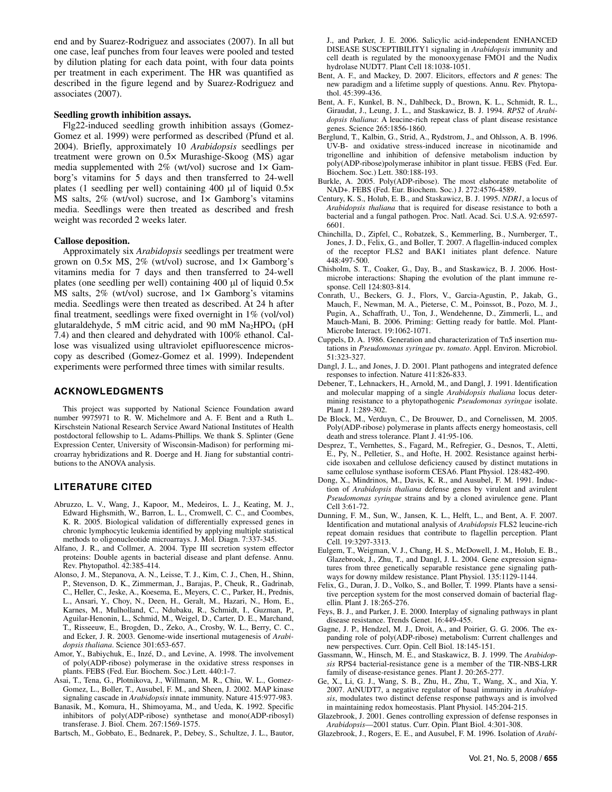end and by Suarez-Rodriguez and associates (2007). In all but one case, leaf punches from four leaves were pooled and tested by dilution plating for each data point, with four data points per treatment in each experiment. The HR was quantified as described in the figure legend and by Suarez-Rodriguez and associates (2007).

#### **Seedling growth inhibition assays.**

Flg22-induced seedling growth inhibition assays (Gomez-Gomez et al. 1999) were performed as described (Pfund et al. 2004). Briefly, approximately 10 *Arabidopsis* seedlings per treatment were grown on 0.5× Murashige-Skoog (MS) agar media supplemented with  $2\%$  (wt/vol) sucrose and  $1\times$  Gamborg's vitamins for 5 days and then transferred to 24-well plates (1 seedling per well) containing 400 μl of liquid 0.5× MS salts, 2% (wt/vol) sucrose, and 1× Gamborg's vitamins media. Seedlings were then treated as described and fresh weight was recorded 2 weeks later.

# **Callose deposition.**

Approximately six *Arabidopsis* seedlings per treatment were grown on 0.5× MS, 2% (wt/vol) sucrose, and 1× Gamborg's vitamins media for 7 days and then transferred to 24-well plates (one seedling per well) containing 400 μl of liquid 0.5× MS salts,  $2\%$  (wt/vol) sucrose, and  $1\times$  Gamborg's vitamins media. Seedlings were then treated as described. At 24 h after final treatment, seedlings were fixed overnight in 1% (vol/vol) glutaraldehyde, 5 mM citric acid, and 90 mM  $Na<sub>2</sub>HPO<sub>4</sub>$  (pH 7.4) and then cleared and dehydrated with 100% ethanol. Callose was visualized using ultraviolet epifluorescence microscopy as described (Gomez-Gomez et al. 1999). Independent experiments were performed three times with similar results.

# **ACKNOWLEDGMENTS**

This project was supported by National Science Foundation award number 9975971 to R. W. Michelmore and A. F. Bent and a Ruth L. Kirschstein National Research Service Award National Institutes of Health postdoctoral fellowship to L. Adams-Phillips. We thank S. Splinter (Gene Expression Center, University of Wisconsin-Madison) for performing microarray hybridizations and R. Doerge and H. Jiang for substantial contributions to the ANOVA analysis.

# **LITERATURE CITED**

- Abruzzo, L. V., Wang, J., Kapoor, M., Medeiros, L. J., Keating, M. J., Edward Highsmith, W., Barron, L. L., Cromwell, C. C., and Coombes, K. R. 2005. Biological validation of differentially expressed genes in chronic lymphocytic leukemia identified by applying multiple statistical methods to oligonucleotide microarrays. J. Mol. Diagn. 7:337-345.
- Alfano, J. R., and Collmer, A. 2004. Type III secretion system effector proteins: Double agents in bacterial disease and plant defense. Annu. Rev. Phytopathol. 42:385-414.
- Alonso, J. M., Stepanova, A. N., Leisse, T. J., Kim, C. J., Chen, H., Shinn, P., Stevenson, D. K., Zimmerman, J., Barajas, P., Cheuk, R., Gadrinab, C., Heller, C., Jeske, A., Koesema, E., Meyers, C. C., Parker, H., Prednis, L., Ansari, Y., Choy, N., Deen, H., Geralt, M., Hazari, N., Hom, E., Karnes, M., Mulholland, C., Ndubaku, R., Schmidt, I., Guzman, P., Aguilar-Henonin, L., Schmid, M., Weigel, D., Carter, D. E., Marchand, T., Risseeuw, E., Brogden, D., Zeko, A., Crosby, W. L., Berry, C. C., and Ecker, J. R. 2003. Genome-wide insertional mutagenesis of *Arabidopsis thaliana*. Science 301:653-657.
- Amor, Y., Babiychuk, E., Inzé, D., and Levine, A. 1998. The involvement of poly(ADP-ribose) polymerase in the oxidative stress responses in plants. FEBS (Fed. Eur. Biochem. Soc.) Lett. 440:1-7.
- Asai, T., Tena, G., Plotnikova, J., Willmann, M. R., Chiu, W. L., Gomez-Gomez, L., Boller, T., Ausubel, F. M., and Sheen, J. 2002. MAP kinase signaling cascade in *Arabidopsis* innate immunity. Nature 415:977-983.
- Banasik, M., Komura, H., Shimoyama, M., and Ueda, K. 1992. Specific inhibitors of poly(ADP-ribose) synthetase and mono(ADP-ribosyl) transferase. J. Biol. Chem. 267:1569-1575.
- Bartsch, M., Gobbato, E., Bednarek, P., Debey, S., Schultze, J. L., Bautor,

J., and Parker, J. E. 2006. Salicylic acid-independent ENHANCED DISEASE SUSCEPTIBILITY1 signaling in *Arabidopsis* immunity and cell death is regulated by the monooxygenase FMO1 and the Nudix hydrolase NUDT7. Plant Cell 18:1038-1051.

- Bent, A. F., and Mackey, D. 2007. Elicitors, effectors and *R* genes: The new paradigm and a lifetime supply of questions. Annu. Rev. Phytopathol. 45:399-436.
- Bent, A. F., Kunkel, B. N., Dahlbeck, D., Brown, K. L., Schmidt, R. L., Giraudat, J., Leung, J. L., and Staskawicz, B. J. 1994. *RPS2* of *Arabidopsis thaliana*: A leucine-rich repeat class of plant disease resistance genes. Science 265:1856-1860.
- Berglund, T., Kalbin, G., Strid, A., Rydstrom, J., and Ohlsson, A. B. 1996. UV-B- and oxidative stress-induced increase in nicotinamide and trigonelline and inhibition of defensive metabolism induction by poly(ADP-ribose)polymerase inhibitor in plant tissue. FEBS (Fed. Eur. Biochem. Soc.) Lett. 380:188-193.
- Burkle, A. 2005. Poly(ADP-ribose). The most elaborate metabolite of NAD+. FEBS (Fed. Eur. Biochem. Soc.) J. 272:4576-4589.
- Century, K. S., Holub, E. B., and Staskawicz, B. J. 1995. *NDR1*, a locus of *Arabidopsis thaliana* that is required for disease resistance to both a bacterial and a fungal pathogen. Proc. Natl. Acad. Sci. U.S.A. 92:6597- 6601.
- Chinchilla, D., Zipfel, C., Robatzek, S., Kemmerling, B., Nurnberger, T., Jones, J. D., Felix, G., and Boller, T. 2007. A flagellin-induced complex of the receptor FLS2 and BAK1 initiates plant defence. Nature 448:497-500.
- Chisholm, S. T., Coaker, G., Day, B., and Staskawicz, B. J. 2006. Hostmicrobe interactions: Shaping the evolution of the plant immune response. Cell 124:803-814.
- Conrath, U., Beckers, G. J., Flors, V., Garcia-Agustin, P., Jakab, G., Mauch, F., Newman, M. A., Pieterse, C. M., Poinssot, B., Pozo, M. J., Pugin, A., Schaffrath, U., Ton, J., Wendehenne, D., Zimmerli, L., and Mauch-Mani, B. 2006. Priming: Getting ready for battle. Mol. Plant-Microbe Interact. 19:1062-1071.
- Cuppels, D. A. 1986. Generation and characterization of Tn5 insertion mutations in *Pseudomonas syringae* pv. *tomato*. Appl. Environ. Microbiol. 51:323-327.
- Dangl, J. L., and Jones, J. D. 2001. Plant pathogens and integrated defence responses to infection. Nature 411:826-833.
- Debener, T., Lehnackers, H., Arnold, M., and Dangl, J. 1991. Identification and molecular mapping of a single *Arabidopsis thaliana* locus determining resistance to a phytopathogenic *Pseudomonas syringae* isolate. Plant J. 1:289-302.
- De Block, M., Verduyn, C., De Brouwer, D., and Cornelissen, M. 2005. Poly(ADP-ribose) polymerase in plants affects energy homeostasis, cell death and stress tolerance. Plant J. 41:95-106.
- Desprez, T., Vernhettes, S., Fagard, M., Refregier, G., Desnos, T., Aletti, E., Py, N., Pelletier, S., and Hofte, H. 2002. Resistance against herbicide isoxaben and cellulose deficiency caused by distinct mutations in same cellulose synthase isoform CESA6. Plant Physiol. 128:482-490.
- Dong, X., Mindrinos, M., Davis, K. R., and Ausubel, F. M. 1991. Induction of *Arabidopsis thaliana* defense genes by virulent and avirulent *Pseudomonas syringae* strains and by a cloned avirulence gene. Plant Cell 3:61-72.
- Dunning, F. M., Sun, W., Jansen, K. L., Helft, L., and Bent, A. F. 2007. Identification and mutational analysis of *Arabidopsis* FLS2 leucine-rich repeat domain residues that contribute to flagellin perception. Plant Cell. 19:3297-3313.
- Eulgem, T., Weigman, V. J., Chang, H. S., McDowell, J. M., Holub, E. B., Glazebrook, J., Zhu, T., and Dangl, J. L. 2004. Gene expression signatures from three genetically separable resistance gene signaling pathways for downy mildew resistance. Plant Physiol. 135:1129-1144.
- Felix, G., Duran, J. D., Volko, S., and Boller, T. 1999. Plants have a sensitive perception system for the most conserved domain of bacterial flagellin. Plant J. 18:265-276.
- Feys, B. J., and Parker, J. E. 2000. Interplay of signaling pathways in plant disease resistance. Trends Genet. 16:449-455.
- Gagne, J. P., Hendzel, M. J., Droit, A., and Poirier, G. G. 2006. The expanding role of poly(ADP-ribose) metabolism: Current challenges and new perspectives. Curr. Opin. Cell Biol. 18:145-151.
- Gassmann, W., Hinsch, M. E., and Staskawicz, B. J. 1999. The *Arabidopsis* RPS4 bacterial-resistance gene is a member of the TIR-NBS-LRR family of disease-resistance genes. Plant J. 20:265-277.
- Ge, X., Li, G. J., Wang, S. B., Zhu, H., Zhu, T., Wang, X., and Xia, Y. 2007. AtNUDT7, a negative regulator of basal immunity in *Arabidopsis*, modulates two distinct defense response pathways and is involved in maintaining redox homeostasis. Plant Physiol. 145:204-215.
- Glazebrook, J. 2001. Genes controlling expression of defense responses in *Arabidopsis*—2001 status. Curr. Opin. Plant Biol. 4:301-308.
- Glazebrook, J., Rogers, E. E., and Ausubel, F. M. 1996. Isolation of *Arabi-*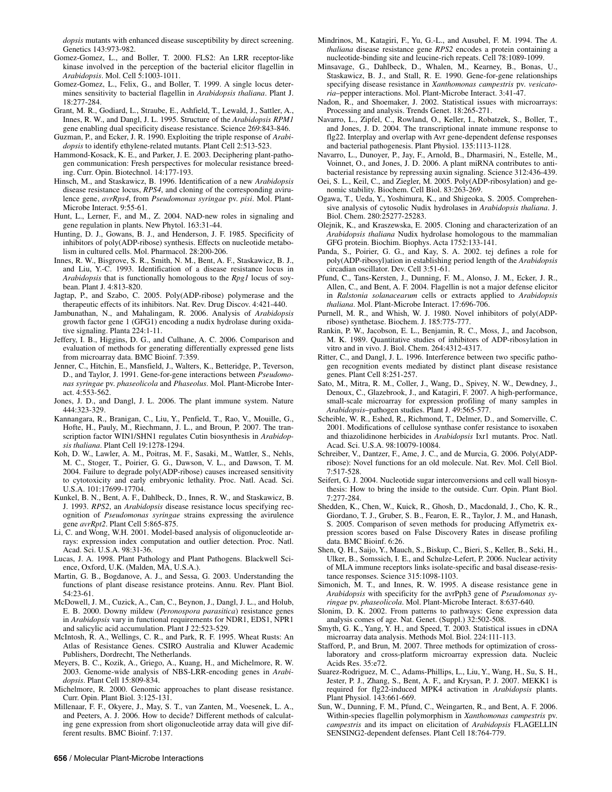*dopsis* mutants with enhanced disease susceptibility by direct screening. Genetics 143:973-982.

- Gomez-Gomez, L., and Boller, T. 2000. FLS2: An LRR receptor-like kinase involved in the perception of the bacterial elicitor flagellin in *Arabidopsis*. Mol. Cell 5:1003-1011.
- Gomez-Gomez, L., Felix, G., and Boller, T. 1999. A single locus determines sensitivity to bacterial flagellin in *Arabidopsis thaliana*. Plant J. 18:277-284.
- Grant, M. R., Godiard, L., Straube, E., Ashfield, T., Lewald, J., Sattler, A., Innes, R. W., and Dangl, J. L. 1995. Structure of the *Arabidopsis RPM1* gene enabling dual specificity disease resistance. Science 269:843-846.
- Guzman, P., and Ecker, J. R. 1990. Exploiting the triple response of *Arabidopsis* to identify ethylene-related mutants. Plant Cell 2:513-523.
- Hammond-Kosack, K. E., and Parker, J. E. 2003. Deciphering plant-pathogen communication: Fresh perspectives for molecular resistance breeding. Curr. Opin. Biotechnol. 14:177-193.
- Hinsch, M., and Staskawicz, B. 1996. Identification of a new *Arabidopsis* disease resistance locus, *RPS4*, and cloning of the corresponding avirulence gene, *avrRps4*, from *Pseudomonas syringae* pv. *pisi*. Mol. Plant-Microbe Interact. 9:55-61.
- Hunt, L., Lerner, F., and M., Z. 2004. NAD-new roles in signaling and gene regulation in plants. New Phytol. 163:31-44.
- Hunting, D. J., Gowans, B. J., and Henderson, J. F. 1985. Specificity of inhibitors of poly(ADP-ribose) synthesis. Effects on nucleotide metabolism in cultured cells. Mol. Pharmacol. 28:200-206.
- Innes, R. W., Bisgrove, S. R., Smith, N. M., Bent, A. F., Staskawicz, B. J., and Liu, Y.-C. 1993. Identification of a disease resistance locus in *Arabidopsis* that is functionally homologous to the *Rpg1* locus of soybean. Plant J. 4:813-820.
- Jagtap, P., and Szabo, C. 2005. Poly(ADP-ribose) polymerase and the therapeutic effects of its inhibitors. Nat. Rev. Drug Discov. 4:421-440.
- Jambunathan, N., and Mahalingam, R. 2006. Analysis of *Arabidopsis* growth factor gene 1 (GFG1) encoding a nudix hydrolase during oxidative signaling. Planta 224:1-11.
- Jeffery, I. B., Higgins, D. G., and Culhane, A. C. 2006. Comparison and evaluation of methods for generating differentially expressed gene lists from microarray data. BMC Bioinf. 7:359.
- Jenner, C., Hitchin, E., Mansfield, J., Walters, K., Betteridge, P., Teverson, D., and Taylor, J. 1991. Gene-for-gene interactions between *Pseudomonas syringae* pv. *phaseolicola* and *Phaseolus*. Mol. Plant-Microbe Interact. 4:553-562.
- Jones, J. D., and Dangl, J. L. 2006. The plant immune system. Nature 444:323-329.
- Kannangara, R., Branigan, C., Liu, Y., Penfield, T., Rao, V., Mouille, G., Hofte, H., Pauly, M., Riechmann, J. L., and Broun, P. 2007. The transcription factor WIN1/SHN1 regulates Cutin biosynthesis in *Arabidopsis thaliana*. Plant Cell 19:1278-1294.
- Koh, D. W., Lawler, A. M., Poitras, M. F., Sasaki, M., Wattler, S., Nehls, M. C., Stoger, T., Poirier, G. G., Dawson, V. L., and Dawson, T. M. 2004. Failure to degrade poly(ADP-ribose) causes increased sensitivity to cytotoxicity and early embryonic lethality. Proc. Natl. Acad. Sci. U.S.A. 101:17699-17704.
- Kunkel, B. N., Bent, A. F., Dahlbeck, D., Innes, R. W., and Staskawicz, B. J. 1993. *RPS2*, an *Arabidopsis* disease resistance locus specifying recognition of *Pseudomonas syringae* strains expressing the avirulence gene *avrRpt2*. Plant Cell 5:865-875.
- Li, C. and Wong, W.H. 2001. Model-based analysis of oligonucleotide arrays: expression index computation and outlier detection. Proc. Natl. Acad. Sci. U.S.A. 98:31-36.
- Lucas, J. A. 1998. Plant Pathology and Plant Pathogens. Blackwell Science, Oxford, U.K. (Malden, MA, U.S.A.).
- Martin, G. B., Bogdanove, A. J., and Sessa, G. 2003. Understanding the functions of plant disease resistance proteins. Annu. Rev. Plant Biol. 54:23-61.
- McDowell, J. M., Cuzick, A., Can, C., Beynon, J., Dangl, J. L., and Holub, E. B. 2000. Downy mildew (*Peronospora parasitica*) resistance genes in *Arabidopsis* vary in functional requirements for NDR1, EDS1, NPR1 and salicylic acid accumulation. Plant J 22:523-529.
- McIntosh, R. A., Wellings, C. R., and Park, R. F. 1995. Wheat Rusts: An Atlas of Resistance Genes. CSIRO Australia and Kluwer Academic Publishers, Dordrecht, The Netherlands.
- Meyers, B. C., Kozik, A., Griego, A., Kuang, H., and Michelmore, R. W. 2003. Genome-wide analysis of NBS-LRR-encoding genes in *Arabidopsis*. Plant Cell 15:809-834.
- Michelmore, R. 2000. Genomic approaches to plant disease resistance. Curr. Opin. Plant Biol. 3:125-131.
- Millenaar, F. F., Okyere, J., May, S. T., van Zanten, M., Voesenek, L. A., and Peeters, A. J. 2006. How to decide? Different methods of calculating gene expression from short oligonucleotide array data will give different results. BMC Bioinf. 7:137.
- Mindrinos, M., Katagiri, F., Yu, G.-L., and Ausubel, F. M. 1994. The *A. thaliana* disease resistance gene *RPS2* encodes a protein containing a nucleotide-binding site and leucine-rich repeats. Cell 78:1089-1099.
- Minsavage, G., Dahlbeck, D., Whalen, M., Kearney, B., Bonas, U., Staskawicz, B. J., and Stall, R. E. 1990. Gene-for-gene relationships specifying disease resistance in *Xanthomonas campestris* pv. *vesicatoria*–pepper interactions. Mol. Plant-Microbe Interact. 3:41-47.
- Nadon, R., and Shoemaker, J. 2002. Statistical issues with microarrays: Processing and analysis. Trends Genet. 18:265-271.
- Navarro, L., Zipfel, C., Rowland, O., Keller, I., Robatzek, S., Boller, T., and Jones, J. D. 2004. The transcriptional innate immune response to flg22. Interplay and overlap with Avr gene-dependent defense responses and bacterial pathogenesis. Plant Physiol. 135:1113-1128.
- Navarro, L., Dunoyer, P., Jay, F., Arnold, B., Dharmasiri, N., Estelle, M., Voinnet, O., and Jones, J. D. 2006. A plant miRNA contributes to antibacterial resistance by repressing auxin signaling. Science 312:436-439.
- Oei, S. L., Keil, C., and Ziegler, M. 2005. Poly(ADP-ribosylation) and genomic stability. Biochem. Cell Biol. 83:263-269.
- Ogawa, T., Ueda, Y., Yoshimura, K., and Shigeoka, S. 2005. Comprehensive analysis of cytosolic Nudix hydrolases in *Arabidopsis thaliana*. J. Biol. Chem. 280:25277-25283.
- Olejnik, K., and Kraszewska, E. 2005. Cloning and characterization of an *Arabidopsis thaliana* Nudix hydrolase homologous to the mammalian GFG protein. Biochim. Biophys. Acta 1752:133-141.
- Panda, S., Poirier, G. G., and Kay, S. A. 2002. tej defines a role for poly(ADP-ribosyl)ation in establishing period length of the *Arabidopsis* circadian oscillator. Dev. Cell 3:51-61.
- Pfund, C., Tans-Kersten, J., Dunning, F. M., Alonso, J. M., Ecker, J. R., Allen, C., and Bent, A. F. 2004. Flagellin is not a major defense elicitor in *Ralstonia solanacearum* cells or extracts applied to *Arabidopsis thaliana*. Mol. Plant-Microbe Interact. 17:696-706.
- Purnell, M. R., and Whish, W. J. 1980. Novel inhibitors of poly(ADPribose) synthetase. Biochem. J. 185:775-777.
- Rankin, P. W., Jacobson, E. L., Benjamin, R. C., Moss, J., and Jacobson, M. K. 1989. Quantitative studies of inhibitors of ADP-ribosylation in vitro and in vivo. J. Biol. Chem. 264:4312-4317.
- Ritter, C., and Dangl, J. L. 1996. Interference between two specific pathogen recognition events mediated by distinct plant disease resistance genes. Plant Cell 8:251-257.
- Sato, M., Mitra, R. M., Coller, J., Wang, D., Spivey, N. W., Dewdney, J., Denoux, C., Glazebrook, J., and Katagiri, F. 2007. A high-performance, small-scale microarray for expression profiling of many samples in *Arabidopsis*–pathogen studies. Plant J. 49:565-577.
- Scheible, W. R., Eshed, R., Richmond, T., Delmer, D., and Somerville, C. 2001. Modifications of cellulose synthase confer resistance to isoxaben and thiazolidinone herbicides in *Arabidopsis* Ixr1 mutants. Proc. Natl. Acad. Sci. U.S.A. 98:10079-10084.
- Schreiber, V., Dantzer, F., Ame, J. C., and de Murcia, G. 2006. Poly(ADPribose): Novel functions for an old molecule. Nat. Rev. Mol. Cell Biol. 7:517-528.
- Seifert, G. J. 2004. Nucleotide sugar interconversions and cell wall biosynthesis: How to bring the inside to the outside. Curr. Opin. Plant Biol. 7:277-284.
- Shedden, K., Chen, W., Kuick, R., Ghosh, D., Macdonald, J., Cho, K. R., Giordano, T. J., Gruber, S. B., Fearon, E. R., Taylor, J. M., and Hanash, S. 2005. Comparison of seven methods for producing Affymetrix expression scores based on False Discovery Rates in disease profiling data. BMC Bioinf. 6:26.
- Shen, Q. H., Saijo, Y., Mauch, S., Biskup, C., Bieri, S., Keller, B., Seki, H., Ulker, B., Somssich, I. E., and Schulze-Lefert, P. 2006. Nuclear activity of MLA immune receptors links isolate-specific and basal disease-resistance responses. Science 315:1098-1103.
- Simonich, M. T., and Innes, R. W. 1995. A disease resistance gene in *Arabidopsis* with specificity for the avrPph3 gene of *Pseudomonas syringae* pv. *phaseolicola*. Mol. Plant-Microbe Interact. 8:637-640.
- Slonim, D. K. 2002. From patterns to pathways: Gene expression data analysis comes of age. Nat. Genet. (Suppl.) 32:502-508.
- Smyth, G. K., Yang, Y. H., and Speed, T. 2003. Statistical issues in cDNA microarray data analysis. Methods Mol. Biol. 224:111-113.
- Stafford, P., and Brun, M. 2007. Three methods for optimization of crosslaboratory and cross-platform microarray expression data. Nucleic Acids Res. 35:e72.
- Suarez-Rodriguez, M. C., Adams-Phillips, L., Liu, Y., Wang, H., Su, S. H., Jester, P. J., Zhang, S., Bent, A. F., and Krysan, P. J. 2007. MEKK1 is required for flg22-induced MPK4 activation in *Arabidopsis* plants. Plant Physiol. 143:661-669.
- Sun, W., Dunning, F. M., Pfund, C., Weingarten, R., and Bent, A. F. 2006. Within-species flagellin polymorphism in *Xanthomonas campestris* pv. *campestris* and its impact on elicitation of *Arabidopsis* FLAGELLIN SENSING2-dependent defenses. Plant Cell 18:764-779.